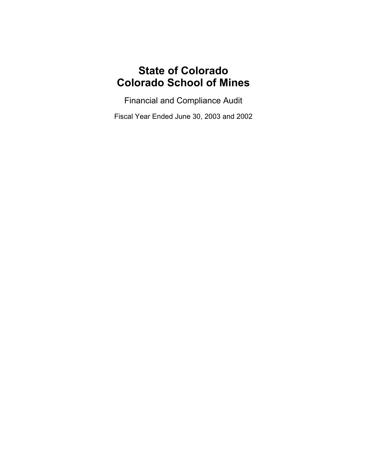Financial and Compliance Audit

Fiscal Year Ended June 30, 2003 and 2002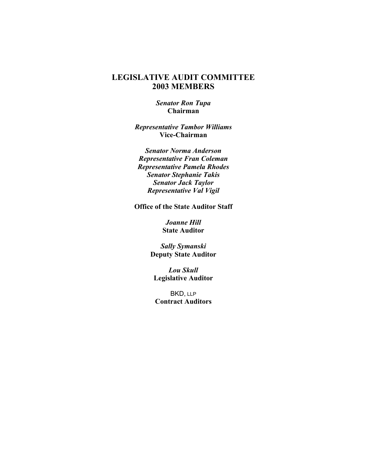## **LEGISLATIVE AUDIT COMMITTEE 2003 MEMBERS**

#### *Senator Ron Tupa*  **Chairman**

*Representative Tambor Williams*  **Vice-Chairman** 

*Senator Norma Anderson Representative Fran Coleman Representative Pamela Rhodes Senator Stephanie Takis Senator Jack Taylor Representative Val Vigil* 

#### **Office of the State Auditor Staff**

*Joanne Hill*  **State Auditor** 

*Sally Symanski*  **Deputy State Auditor** 

*Lou Skull*  **Legislative Auditor** 

BKD, LLP **Contract Auditors**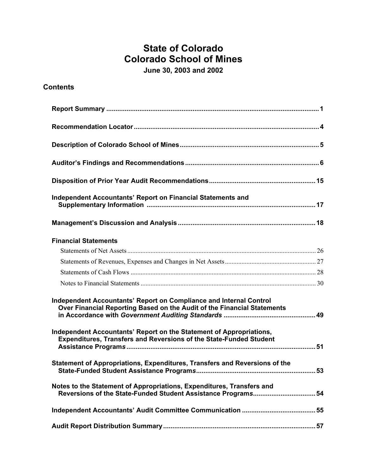# **State of Colorado Colorado School of Mines June 30, 2003 and 2002**

## **Contents**

| Independent Accountants' Report on Financial Statements and                                                                                      |
|--------------------------------------------------------------------------------------------------------------------------------------------------|
|                                                                                                                                                  |
| <b>Financial Statements</b>                                                                                                                      |
|                                                                                                                                                  |
|                                                                                                                                                  |
|                                                                                                                                                  |
|                                                                                                                                                  |
| Independent Accountants' Report on Compliance and Internal Control<br>Over Financial Reporting Based on the Audit of the Financial Statements    |
| Independent Accountants' Report on the Statement of Appropriations,<br><b>Expenditures, Transfers and Reversions of the State-Funded Student</b> |
| Statement of Appropriations, Expenditures, Transfers and Reversions of the<br>53                                                                 |
| Notes to the Statement of Appropriations, Expenditures, Transfers and                                                                            |
|                                                                                                                                                  |
|                                                                                                                                                  |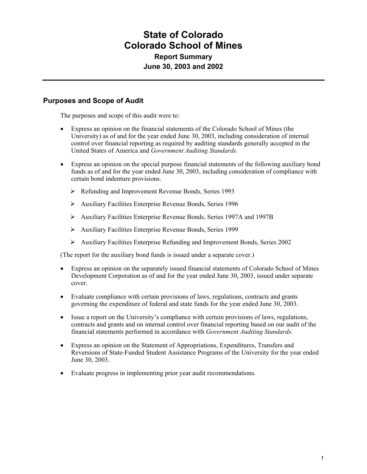# **State of Colorado Colorado School of Mines Report Summary June 30, 2003 and 2002**

### **Purposes and Scope of Audit**

The purposes and scope of this audit were to:

- Express an opinion on the financial statements of the Colorado School of Mines (the University) as of and for the year ended June 30, 2003, including consideration of internal control over financial reporting as required by auditing standards generally accepted in the United States of America and *Government Auditing Standards.*
- Express an opinion on the special purpose financial statements of the following auxiliary bond funds as of and for the year ended June 30, 2003, including consideration of compliance with certain bond indenture provisions.
	- ¾ Refunding and Improvement Revenue Bonds, Series 1993
	- ¾ Auxiliary Facilities Enterprise Revenue Bonds, Series 1996
	- ¾ Auxiliary Facilities Enterprise Revenue Bonds, Series 1997A and 1997B
	- ¾ Auxiliary Facilities Enterprise Revenue Bonds, Series 1999
	- ¾ Auxiliary Facilities Enterprise Refunding and Improvement Bonds, Series 2002

(The report for the auxiliary bond funds is issued under a separate cover.)

- Express an opinion on the separately issued financial statements of Colorado School of Mines Development Corporation as of and for the year ended June 30, 2003, issued under separate cover.
- Evaluate compliance with certain provisions of laws, regulations, contracts and grants governing the expenditure of federal and state funds for the year ended June 30, 2003.
- Issue a report on the University's compliance with certain provisions of laws, regulations, contracts and grants and on internal control over financial reporting based on our audit of the financial statements performed in accordance with *Government Auditing Standards.*
- Express an opinion on the Statement of Appropriations, Expenditures, Transfers and Reversions of State-Funded Student Assistance Programs of the University for the year ended June 30, 2003.
- Evaluate progress in implementing prior year audit recommendations.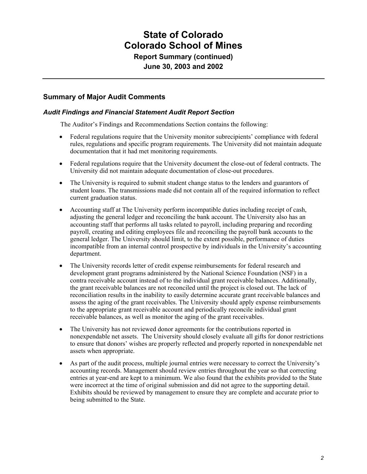**Report Summary (continued) June 30, 2003 and 2002** 

#### **Summary of Major Audit Comments**

#### *Audit Findings and Financial Statement Audit Report Section*

The Auditor's Findings and Recommendations Section contains the following:

- Federal regulations require that the University monitor subrecipients' compliance with federal rules, regulations and specific program requirements. The University did not maintain adequate documentation that it had met monitoring requirements.
- Federal regulations require that the University document the close-out of federal contracts. The University did not maintain adequate documentation of close-out procedures.
- The University is required to submit student change status to the lenders and guarantors of student loans. The transmissions made did not contain all of the required information to reflect current graduation status.
- Accounting staff at The University perform incompatible duties including receipt of cash, adjusting the general ledger and reconciling the bank account. The University also has an accounting staff that performs all tasks related to payroll, including preparing and recording payroll, creating and editing employees file and reconciling the payroll bank accounts to the general ledger. The University should limit, to the extent possible, performance of duties incompatible from an internal control prospective by individuals in the University's accounting department.
- The University records letter of credit expense reimbursements for federal research and development grant programs administered by the National Science Foundation (NSF) in a contra receivable account instead of to the individual grant receivable balances. Additionally, the grant receivable balances are not reconciled until the project is closed out. The lack of reconciliation results in the inability to easily determine accurate grant receivable balances and assess the aging of the grant receivables. The University should apply expense reimbursements to the appropriate grant receivable account and periodically reconcile individual grant receivable balances, as well as monitor the aging of the grant receivables.
- The University has not reviewed donor agreements for the contributions reported in nonexpendable net assets. The University should closely evaluate all gifts for donor restrictions to ensure that donors' wishes are properly reflected and properly reported in nonexpendable net assets when appropriate.
- As part of the audit process, multiple journal entries were necessary to correct the University's accounting records. Management should review entries throughout the year so that correcting entries at year-end are kept to a minimum. We also found that the exhibits provided to the State were incorrect at the time of original submission and did not agree to the supporting detail. Exhibits should be reviewed by management to ensure they are complete and accurate prior to being submitted to the State.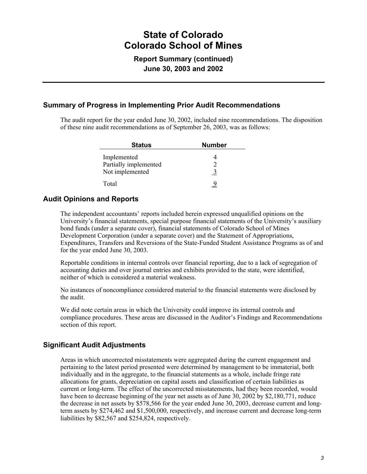## **Report Summary (continued) June 30, 2003 and 2002**

### **Summary of Progress in Implementing Prior Audit Recommendations**

The audit report for the year ended June 30, 2002, included nine recommendations. The disposition of these nine audit recommendations as of September 26, 2003, was as follows:

| <b>Status</b>         | <b>Number</b> |
|-----------------------|---------------|
| Implemented           |               |
| Partially implemented | 7             |
| Not implemented       |               |
| Total                 |               |

#### **Audit Opinions and Reports**

The independent accountants' reports included herein expressed unqualified opinions on the University's financial statements, special purpose financial statements of the University's auxiliary bond funds (under a separate cover), financial statements of Colorado School of Mines Development Corporation (under a separate cover) and the Statement of Appropriations, Expenditures, Transfers and Reversions of the State-Funded Student Assistance Programs as of and for the year ended June 30, 2003.

Reportable conditions in internal controls over financial reporting, due to a lack of segregation of accounting duties and over journal entries and exhibits provided to the state, were identified, neither of which is considered a material weakness.

No instances of noncompliance considered material to the financial statements were disclosed by the audit.

We did note certain areas in which the University could improve its internal controls and compliance procedures. These areas are discussed in the Auditor's Findings and Recommendations section of this report.

## **Significant Audit Adjustments**

Areas in which uncorrected misstatements were aggregated during the current engagement and pertaining to the latest period presented were determined by management to be immaterial, both individually and in the aggregate, to the financial statements as a whole, include fringe rate allocations for grants, depreciation on capital assets and classification of certain liabilities as current or long-term. The effect of the uncorrected misstatements, had they been recorded, would have been to decrease beginning of the year net assets as of June 30, 2002 by \$2,180,771, reduce the decrease in net assets by \$578,566 for the year ended June 30, 2003, decrease current and longterm assets by \$274,462 and \$1,500,000, respectively, and increase current and decrease long-term liabilities by \$82,567 and \$254,824, respectively.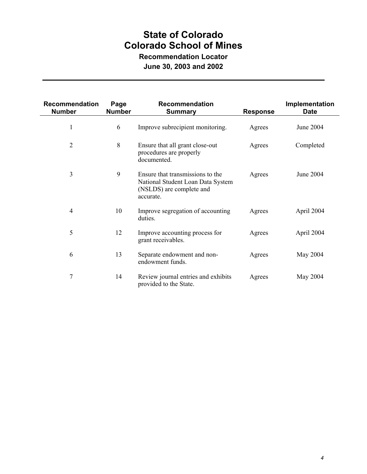**Recommendation Locator June 30, 2003 and 2002** 

| <b>Recommendation</b><br><b>Number</b> | Page<br><b>Number</b> | <b>Recommendation</b><br><b>Summary</b>                                                                        | <b>Response</b> | Implementation<br><b>Date</b> |
|----------------------------------------|-----------------------|----------------------------------------------------------------------------------------------------------------|-----------------|-------------------------------|
| $\mathbf{1}$                           | 6                     | Improve subrecipient monitoring.                                                                               | Agrees          | June 2004                     |
| $\overline{2}$                         | 8                     | Ensure that all grant close-out<br>procedures are properly<br>documented.                                      | Agrees          | Completed                     |
| 3                                      | 9                     | Ensure that transmissions to the<br>National Student Loan Data System<br>(NSLDS) are complete and<br>accurate. | Agrees          | June 2004                     |
| 4                                      | 10                    | Improve segregation of accounting<br>duties.                                                                   | Agrees          | April 2004                    |
| 5                                      | 12                    | Improve accounting process for<br>grant receivables.                                                           | Agrees          | April 2004                    |
| 6                                      | 13                    | Separate endowment and non-<br>endowment funds.                                                                | Agrees          | May 2004                      |
| 7                                      | 14                    | Review journal entries and exhibits<br>provided to the State.                                                  | Agrees          | May 2004                      |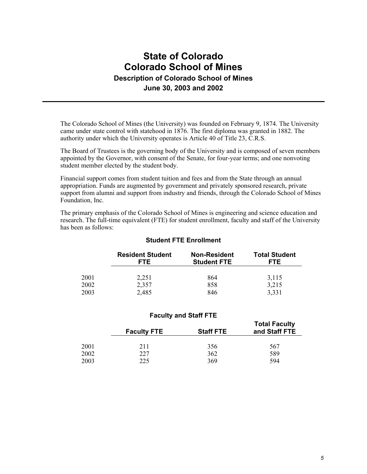# **State of Colorado Colorado School of Mines Description of Colorado School of Mines June 30, 2003 and 2002**

The Colorado School of Mines (the University) was founded on February 9, 1874. The University came under state control with statehood in 1876. The first diploma was granted in 1882. The authority under which the University operates is Article 40 of Title 23, C.R.S.

The Board of Trustees is the governing body of the University and is composed of seven members appointed by the Governor, with consent of the Senate, for four-year terms; and one nonvoting student member elected by the student body.

Financial support comes from student tuition and fees and from the State through an annual appropriation. Funds are augmented by government and privately sponsored research, private support from alumni and support from industry and friends, through the Colorado School of Mines Foundation, Inc.

The primary emphasis of the Colorado School of Mines is engineering and science education and research. The full-time equivalent (FTE) for student enrollment, faculty and staff of the University has been as follows:

#### **Student FTE Enrollment**

|      | <b>Resident Student</b><br>FTE. | <b>Non-Resident</b><br><b>Student FTE</b> | <b>Total Student</b><br>FTE. |
|------|---------------------------------|-------------------------------------------|------------------------------|
| 2001 | 2,251                           | 864                                       | 3,115                        |
| 2002 | 2,357                           | 858                                       | 3,215                        |
| 2003 | 2,485                           | 846                                       | 3,331                        |

#### **Faculty and Staff FTE**

|      | <b>Faculty FTE</b> | <b>Staff FTE</b> | <b>Total Faculty</b><br>and Staff FTE |
|------|--------------------|------------------|---------------------------------------|
| 2001 | 211                | 356              | 567                                   |
| 2002 | 227                | 362              | 589                                   |
| 2003 | 225                | 369              | 594                                   |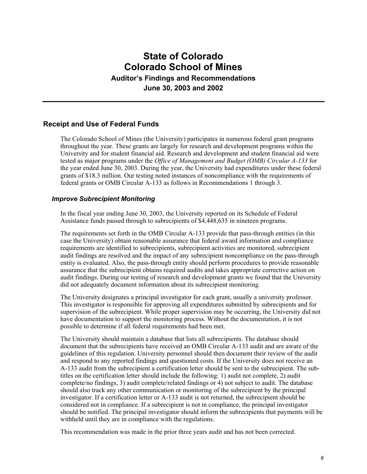**Auditor's Findings and Recommendations June 30, 2003 and 2002** 

### **Receipt and Use of Federal Funds**

The Colorado School of Mines (the University) participates in numerous federal grant programs throughout the year. These grants are largely for research and development programs within the University and for student financial aid. Research and development and student financial aid were tested as major programs under the *Office of Management and Budget (OMB) Circular A-133* for the year ended June 30, 2003. During the year, the University had expenditures under these federal grants of \$18.3 million. Our testing noted instances of noncompliance with the requirements of federal grants or OMB Circular A-133 as follows in Recommendations 1 through 3.

#### *Improve Subrecipient Monitoring*

In the fiscal year ending June 30, 2003, the University reported on its Schedule of Federal Assistance funds passed through to subrecipients of \$4,448,635 in nineteen programs.

The requirements set forth in the OMB Circular A-133 provide that pass-through entities (in this case the University) obtain reasonable assurance that federal award information and compliance requirements are identified to subrecipients, subrecipient activities are monitored, subrecipient audit findings are resolved and the impact of any subrecipient noncompliance on the pass-through entity is evaluated. Also, the pass-through entity should perform procedures to provide reasonable assurance that the subrecipient obtains required audits and takes appropriate corrective action on audit findings. During our testing of research and development grants we found that the University did not adequately document information about its subrecipient monitoring.

The University designates a principal investigator for each grant, usually a university professor. This investigator is responsible for approving all expenditures submitted by subrecipients and for supervision of the subrecipient. While proper supervision may be occurring, the University did not have documentation to support the monitoring process. Without the documentation, it is not possible to determine if all federal requirements had been met.

The University should maintain a database that lists all subrecipients. The database should document that the subrecipients have received an OMB Circular A-133 audit and are aware of the guidelines of this regulation. University personnel should then document their review of the audit and respond to any reported findings and questioned costs. If the University does not receive an A-133 audit from the subrecipient a certification letter should be sent to the subrecipient. The subtitles on the certification letter should include the following: 1) audit not complete, 2) audit complete/no findings, 3) audit complete/related findings or 4) not subject to audit. The database should also track any other communication or monitoring of the subrecipient by the principal investigator. If a certification letter or A-133 audit is not returned, the subrecipient should be considered not in compliance. If a subrecipient is not in compliance, the principal investigator should be notified. The principal investigator should inform the subrecipients that payments will be withheld until they are in compliance with the regulations.

This recommendation was made in the prior three years audit and has not been corrected.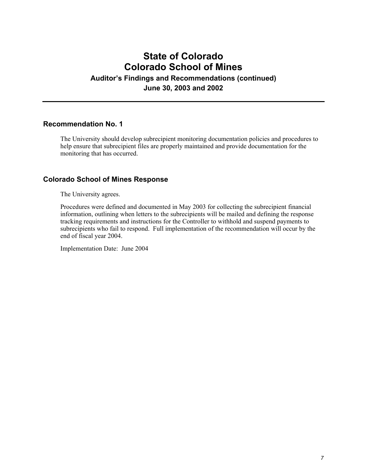## **Auditor's Findings and Recommendations (continued) June 30, 2003 and 2002**

#### **Recommendation No. 1**

The University should develop subrecipient monitoring documentation policies and procedures to help ensure that subrecipient files are properly maintained and provide documentation for the monitoring that has occurred.

## **Colorado School of Mines Response**

The University agrees.

Procedures were defined and documented in May 2003 for collecting the subrecipient financial information, outlining when letters to the subrecipients will be mailed and defining the response tracking requirements and instructions for the Controller to withhold and suspend payments to subrecipients who fail to respond. Full implementation of the recommendation will occur by the end of fiscal year 2004.

Implementation Date: June 2004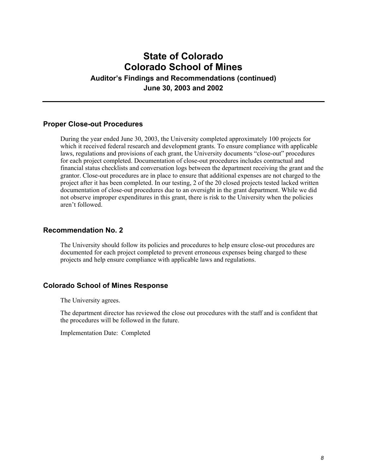**Auditor's Findings and Recommendations (continued) June 30, 2003 and 2002** 

#### **Proper Close-out Procedures**

During the year ended June 30, 2003, the University completed approximately 100 projects for which it received federal research and development grants. To ensure compliance with applicable laws, regulations and provisions of each grant, the University documents "close-out" procedures for each project completed. Documentation of close-out procedures includes contractual and financial status checklists and conversation logs between the department receiving the grant and the grantor. Close-out procedures are in place to ensure that additional expenses are not charged to the project after it has been completed. In our testing, 2 of the 20 closed projects tested lacked written documentation of close-out procedures due to an oversight in the grant department. While we did not observe improper expenditures in this grant, there is risk to the University when the policies aren't followed.

#### **Recommendation No. 2**

The University should follow its policies and procedures to help ensure close-out procedures are documented for each project completed to prevent erroneous expenses being charged to these projects and help ensure compliance with applicable laws and regulations.

#### **Colorado School of Mines Response**

The University agrees.

The department director has reviewed the close out procedures with the staff and is confident that the procedures will be followed in the future.

Implementation Date: Completed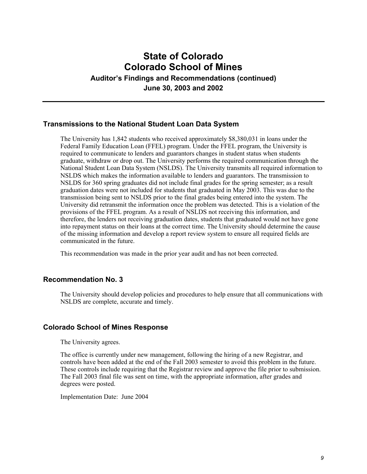**Auditor's Findings and Recommendations (continued) June 30, 2003 and 2002** 

#### **Transmissions to the National Student Loan Data System**

The University has 1,842 students who received approximately \$8,380,031 in loans under the Federal Family Education Loan (FFEL) program. Under the FFEL program, the University is required to communicate to lenders and guarantors changes in student status when students graduate, withdraw or drop out. The University performs the required communication through the National Student Loan Data System (NSLDS). The University transmits all required information to NSLDS which makes the information available to lenders and guarantors. The transmission to NSLDS for 360 spring graduates did not include final grades for the spring semester; as a result graduation dates were not included for students that graduated in May 2003. This was due to the transmission being sent to NSLDS prior to the final grades being entered into the system. The University did retransmit the information once the problem was detected. This is a violation of the provisions of the FFEL program. As a result of NSLDS not receiving this information, and therefore, the lenders not receiving graduation dates, students that graduated would not have gone into repayment status on their loans at the correct time. The University should determine the cause of the missing information and develop a report review system to ensure all required fields are communicated in the future.

This recommendation was made in the prior year audit and has not been corrected.

## **Recommendation No. 3**

The University should develop policies and procedures to help ensure that all communications with NSLDS are complete, accurate and timely.

#### **Colorado School of Mines Response**

The University agrees.

The office is currently under new management, following the hiring of a new Registrar, and controls have been added at the end of the Fall 2003 semester to avoid this problem in the future. These controls include requiring that the Registrar review and approve the file prior to submission. The Fall 2003 final file was sent on time, with the appropriate information, after grades and degrees were posted.

Implementation Date: June 2004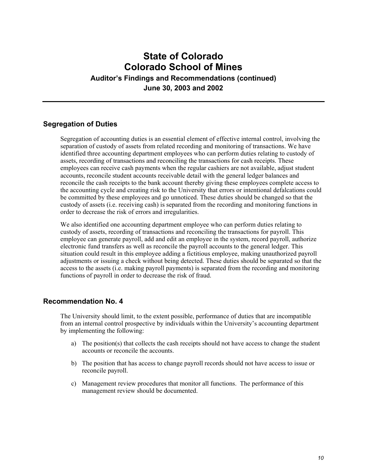**Auditor's Findings and Recommendations (continued) June 30, 2003 and 2002** 

## **Segregation of Duties**

Segregation of accounting duties is an essential element of effective internal control, involving the separation of custody of assets from related recording and monitoring of transactions. We have identified three accounting department employees who can perform duties relating to custody of assets, recording of transactions and reconciling the transactions for cash receipts. These employees can receive cash payments when the regular cashiers are not available, adjust student accounts, reconcile student accounts receivable detail with the general ledger balances and reconcile the cash receipts to the bank account thereby giving these employees complete access to the accounting cycle and creating risk to the University that errors or intentional defalcations could be committed by these employees and go unnoticed. These duties should be changed so that the custody of assets (i.e. receiving cash) is separated from the recording and monitoring functions in order to decrease the risk of errors and irregularities.

We also identified one accounting department employee who can perform duties relating to custody of assets, recording of transactions and reconciling the transactions for payroll. This employee can generate payroll, add and edit an employee in the system, record payroll, authorize electronic fund transfers as well as reconcile the payroll accounts to the general ledger. This situation could result in this employee adding a fictitious employee, making unauthorized payroll adjustments or issuing a check without being detected. These duties should be separated so that the access to the assets (i.e. making payroll payments) is separated from the recording and monitoring functions of payroll in order to decrease the risk of fraud.

## **Recommendation No. 4**

The University should limit, to the extent possible, performance of duties that are incompatible from an internal control prospective by individuals within the University's accounting department by implementing the following:

- a) The position(s) that collects the cash receipts should not have access to change the student accounts or reconcile the accounts.
- b) The position that has access to change payroll records should not have access to issue or reconcile payroll.
- c) Management review procedures that monitor all functions. The performance of this management review should be documented.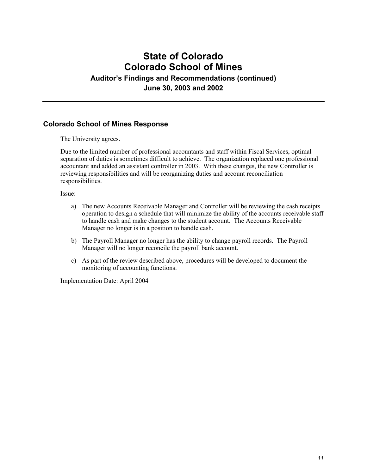## **Auditor's Findings and Recommendations (continued) June 30, 2003 and 2002**

### **Colorado School of Mines Response**

The University agrees.

Due to the limited number of professional accountants and staff within Fiscal Services, optimal separation of duties is sometimes difficult to achieve. The organization replaced one professional accountant and added an assistant controller in 2003. With these changes, the new Controller is reviewing responsibilities and will be reorganizing duties and account reconciliation responsibilities.

Issue:

- a) The new Accounts Receivable Manager and Controller will be reviewing the cash receipts operation to design a schedule that will minimize the ability of the accounts receivable staff to handle cash and make changes to the student account. The Accounts Receivable Manager no longer is in a position to handle cash.
- b) The Payroll Manager no longer has the ability to change payroll records. The Payroll Manager will no longer reconcile the payroll bank account.
- c) As part of the review described above, procedures will be developed to document the monitoring of accounting functions.

Implementation Date: April 2004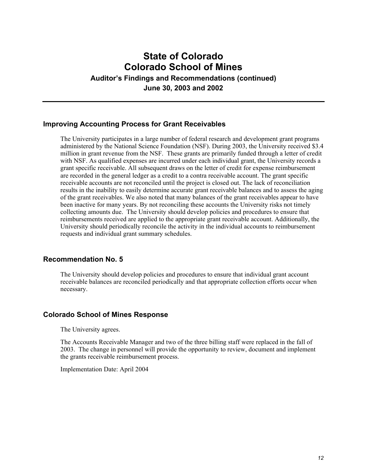**Auditor's Findings and Recommendations (continued) June 30, 2003 and 2002** 

#### **Improving Accounting Process for Grant Receivables**

The University participates in a large number of federal research and development grant programs administered by the National Science Foundation (NSF). During 2003, the University received \$3.4 million in grant revenue from the NSF. These grants are primarily funded through a letter of credit with NSF. As qualified expenses are incurred under each individual grant, the University records a grant specific receivable. All subsequent draws on the letter of credit for expense reimbursement are recorded in the general ledger as a credit to a contra receivable account. The grant specific receivable accounts are not reconciled until the project is closed out. The lack of reconciliation results in the inability to easily determine accurate grant receivable balances and to assess the aging of the grant receivables. We also noted that many balances of the grant receivables appear to have been inactive for many years. By not reconciling these accounts the University risks not timely collecting amounts due. The University should develop policies and procedures to ensure that reimbursements received are applied to the appropriate grant receivable account. Additionally, the University should periodically reconcile the activity in the individual accounts to reimbursement requests and individual grant summary schedules.

#### **Recommendation No. 5**

The University should develop policies and procedures to ensure that individual grant account receivable balances are reconciled periodically and that appropriate collection efforts occur when necessary.

#### **Colorado School of Mines Response**

The University agrees.

The Accounts Receivable Manager and two of the three billing staff were replaced in the fall of 2003. The change in personnel will provide the opportunity to review, document and implement the grants receivable reimbursement process.

Implementation Date: April 2004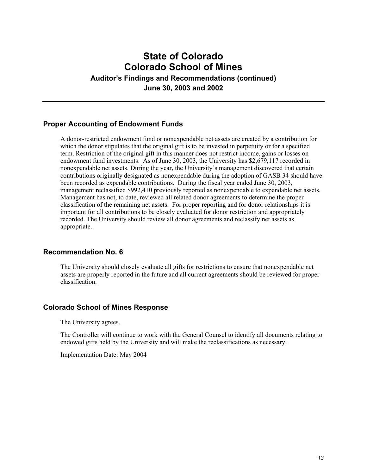**Auditor's Findings and Recommendations (continued) June 30, 2003 and 2002** 

### **Proper Accounting of Endowment Funds**

A donor-restricted endowment fund or nonexpendable net assets are created by a contribution for which the donor stipulates that the original gift is to be invested in perpetuity or for a specified term. Restriction of the original gift in this manner does not restrict income, gains or losses on endowment fund investments. As of June 30, 2003, the University has \$2,679,117 recorded in nonexpendable net assets. During the year, the University's management discovered that certain contributions originally designated as nonexpendable during the adoption of GASB 34 should have been recorded as expendable contributions. During the fiscal year ended June 30, 2003, management reclassified \$992,410 previously reported as nonexpendable to expendable net assets. Management has not, to date, reviewed all related donor agreements to determine the proper classification of the remaining net assets. For proper reporting and for donor relationships it is important for all contributions to be closely evaluated for donor restriction and appropriately recorded. The University should review all donor agreements and reclassify net assets as appropriate.

#### **Recommendation No. 6**

The University should closely evaluate all gifts for restrictions to ensure that nonexpendable net assets are properly reported in the future and all current agreements should be reviewed for proper classification.

#### **Colorado School of Mines Response**

The University agrees.

The Controller will continue to work with the General Counsel to identify all documents relating to endowed gifts held by the University and will make the reclassifications as necessary.

Implementation Date: May 2004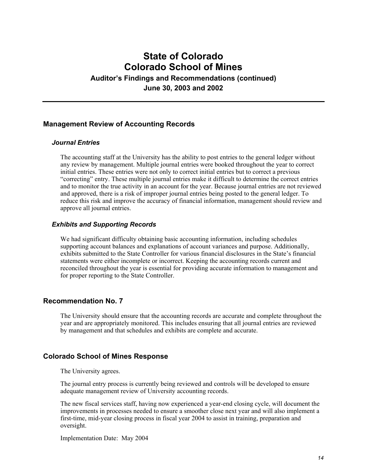**Auditor's Findings and Recommendations (continued) June 30, 2003 and 2002** 

### **Management Review of Accounting Records**

#### *Journal Entries*

The accounting staff at the University has the ability to post entries to the general ledger without any review by management. Multiple journal entries were booked throughout the year to correct initial entries. These entries were not only to correct initial entries but to correct a previous "correcting" entry. These multiple journal entries make it difficult to determine the correct entries and to monitor the true activity in an account for the year. Because journal entries are not reviewed and approved, there is a risk of improper journal entries being posted to the general ledger. To reduce this risk and improve the accuracy of financial information, management should review and approve all journal entries.

#### *Exhibits and Supporting Records*

We had significant difficulty obtaining basic accounting information, including schedules supporting account balances and explanations of account variances and purpose. Additionally, exhibits submitted to the State Controller for various financial disclosures in the State's financial statements were either incomplete or incorrect. Keeping the accounting records current and reconciled throughout the year is essential for providing accurate information to management and for proper reporting to the State Controller.

#### **Recommendation No. 7**

The University should ensure that the accounting records are accurate and complete throughout the year and are appropriately monitored. This includes ensuring that all journal entries are reviewed by management and that schedules and exhibits are complete and accurate.

#### **Colorado School of Mines Response**

The University agrees.

The journal entry process is currently being reviewed and controls will be developed to ensure adequate management review of University accounting records.

The new fiscal services staff, having now experienced a year-end closing cycle, will document the improvements in processes needed to ensure a smoother close next year and will also implement a first-time, mid-year closing process in fiscal year 2004 to assist in training, preparation and oversight.

Implementation Date: May 2004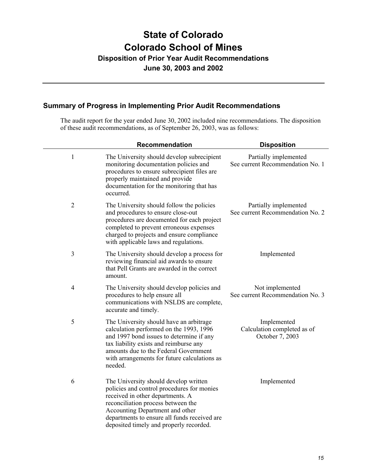**Disposition of Prior Year Audit Recommendations** 

**June 30, 2003 and 2002** 

## **Summary of Progress in Implementing Prior Audit Recommendations**

The audit report for the year ended June 30, 2002 included nine recommendations. The disposition of these audit recommendations, as of September 26, 2003, was as follows:

|                | <b>Recommendation</b>                                                                                                                                                                                                                                                                       | <b>Disposition</b>                                            |
|----------------|---------------------------------------------------------------------------------------------------------------------------------------------------------------------------------------------------------------------------------------------------------------------------------------------|---------------------------------------------------------------|
| 1              | The University should develop subrecipient<br>monitoring documentation policies and<br>procedures to ensure subrecipient files are<br>properly maintained and provide<br>documentation for the monitoring that has<br>occurred.                                                             | Partially implemented<br>See current Recommendation No. 1     |
| $\overline{2}$ | The University should follow the policies<br>and procedures to ensure close-out<br>procedures are documented for each project<br>completed to prevent erroneous expenses<br>charged to projects and ensure compliance<br>with applicable laws and regulations.                              | Partially implemented<br>See current Recommendation No. 2     |
| 3              | The University should develop a process for<br>reviewing financial aid awards to ensure<br>that Pell Grants are awarded in the correct<br>amount.                                                                                                                                           | Implemented                                                   |
| $\overline{4}$ | The University should develop policies and<br>procedures to help ensure all<br>communications with NSLDS are complete,<br>accurate and timely.                                                                                                                                              | Not implemented<br>See current Recommendation No. 3           |
| 5              | The University should have an arbitrage<br>calculation performed on the 1993, 1996<br>and 1997 bond issues to determine if any<br>tax liability exists and reimburse any<br>amounts due to the Federal Government<br>with arrangements for future calculations as<br>needed.                | Implemented<br>Calculation completed as of<br>October 7, 2003 |
| 6              | The University should develop written<br>policies and control procedures for monies<br>received in other departments. A<br>reconciliation process between the<br>Accounting Department and other<br>departments to ensure all funds received are<br>deposited timely and properly recorded. | Implemented                                                   |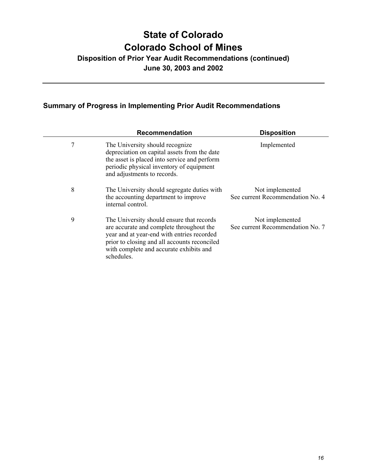**Disposition of Prior Year Audit Recommendations (continued)** 

**June 30, 2003 and 2002** 

## **Summary of Progress in Implementing Prior Audit Recommendations**

|   | Recommendation                                                                                                                                                                                                                               | <b>Disposition</b>                                  |
|---|----------------------------------------------------------------------------------------------------------------------------------------------------------------------------------------------------------------------------------------------|-----------------------------------------------------|
| 7 | The University should recognize<br>depreciation on capital assets from the date<br>the asset is placed into service and perform<br>periodic physical inventory of equipment<br>and adjustments to records.                                   | Implemented                                         |
| 8 | The University should segregate duties with<br>the accounting department to improve<br>internal control.                                                                                                                                     | Not implemented<br>See current Recommendation No. 4 |
| 9 | The University should ensure that records<br>are accurate and complete throughout the<br>year and at year-end with entries recorded<br>prior to closing and all accounts reconciled<br>with complete and accurate exhibits and<br>schedules. | Not implemented<br>See current Recommendation No. 7 |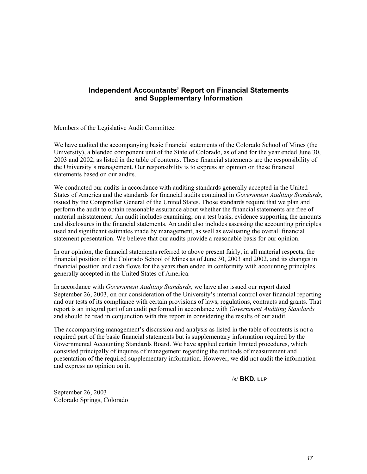## **Independent Accountants' Report on Financial Statements and Supplementary Information**

Members of the Legislative Audit Committee:

We have audited the accompanying basic financial statements of the Colorado School of Mines (the University), a blended component unit of the State of Colorado, as of and for the year ended June 30, 2003 and 2002, as listed in the table of contents. These financial statements are the responsibility of the University's management. Our responsibility is to express an opinion on these financial statements based on our audits.

We conducted our audits in accordance with auditing standards generally accepted in the United States of America and the standards for financial audits contained in *Government Auditing Standards*, issued by the Comptroller General of the United States. Those standards require that we plan and perform the audit to obtain reasonable assurance about whether the financial statements are free of material misstatement. An audit includes examining, on a test basis, evidence supporting the amounts and disclosures in the financial statements. An audit also includes assessing the accounting principles used and significant estimates made by management, as well as evaluating the overall financial statement presentation. We believe that our audits provide a reasonable basis for our opinion.

In our opinion, the financial statements referred to above present fairly, in all material respects, the financial position of the Colorado School of Mines as of June 30, 2003 and 2002, and its changes in financial position and cash flows for the years then ended in conformity with accounting principles generally accepted in the United States of America.

In accordance with *Government Auditing Standards*, we have also issued our report dated September 26, 2003, on our consideration of the University's internal control over financial reporting and our tests of its compliance with certain provisions of laws, regulations, contracts and grants. That report is an integral part of an audit performed in accordance with *Government Auditing Standards* and should be read in conjunction with this report in considering the results of our audit.

The accompanying management's discussion and analysis as listed in the table of contents is not a required part of the basic financial statements but is supplementary information required by the Governmental Accounting Standards Board. We have applied certain limited procedures, which consisted principally of inquires of management regarding the methods of measurement and presentation of the required supplementary information. However, we did not audit the information and express no opinion on it.

/s/ **BKD, LLP** 

September 26, 2003 Colorado Springs, Colorado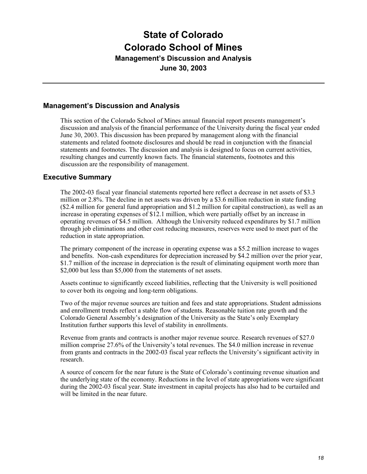## **Management's Discussion and Analysis**

**June 30, 2003** 

## **Management's Discussion and Analysis**

This section of the Colorado School of Mines annual financial report presents management's discussion and analysis of the financial performance of the University during the fiscal year ended June 30, 2003. This discussion has been prepared by management along with the financial statements and related footnote disclosures and should be read in conjunction with the financial statements and footnotes. The discussion and analysis is designed to focus on current activities, resulting changes and currently known facts. The financial statements, footnotes and this discussion are the responsibility of management.

## **Executive Summary**

The 2002-03 fiscal year financial statements reported here reflect a decrease in net assets of \$3.3 million or 2.8%. The decline in net assets was driven by a \$3.6 million reduction in state funding (\$2.4 million for general fund appropriation and \$1.2 million for capital construction), as well as an increase in operating expenses of \$12.1 million, which were partially offset by an increase in operating revenues of \$4.5 million. Although the University reduced expenditures by \$1.7 million through job eliminations and other cost reducing measures, reserves were used to meet part of the reduction in state appropriation.

The primary component of the increase in operating expense was a \$5.2 million increase to wages and benefits. Non-cash expenditures for depreciation increased by \$4.2 million over the prior year, \$1.7 million of the increase in depreciation is the result of eliminating equipment worth more than \$2,000 but less than \$5,000 from the statements of net assets.

Assets continue to significantly exceed liabilities, reflecting that the University is well positioned to cover both its ongoing and long-term obligations.

Two of the major revenue sources are tuition and fees and state appropriations. Student admissions and enrollment trends reflect a stable flow of students. Reasonable tuition rate growth and the Colorado General Assembly's designation of the University as the State's only Exemplary Institution further supports this level of stability in enrollments.

Revenue from grants and contracts is another major revenue source. Research revenues of \$27.0 million comprise 27.6% of the University's total revenues. The \$4.0 million increase in revenue from grants and contracts in the 2002-03 fiscal year reflects the University's significant activity in research.

A source of concern for the near future is the State of Colorado's continuing revenue situation and the underlying state of the economy. Reductions in the level of state appropriations were significant during the 2002-03 fiscal year. State investment in capital projects has also had to be curtailed and will be limited in the near future.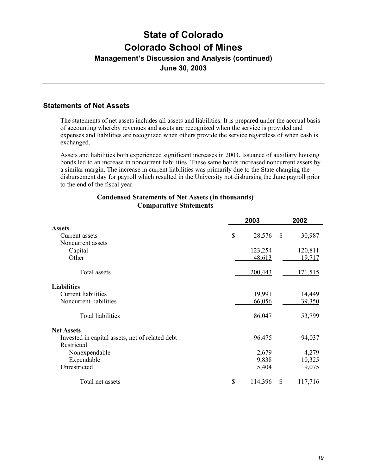# **Management's Discussion and Analysis (continued)**

**June 30, 2003** 

## **Statements of Net Assets**

The statements of net assets includes all assets and liabilities. It is prepared under the accrual basis of accounting whereby revenues and assets are recognized when the service is provided and expenses and liabilities are recognized when others provide the service regardless of when cash is exchanged.

Assets and liabilities both experienced significant increases in 2003. Issuance of auxiliary housing bonds led to an increase in noncurrent liabilities. These same bonds increased noncurrent assets by a similar margin. The increase in current liabilities was primarily due to the State changing the disbursement day for payroll which resulted in the University not disbursing the June payroll prior to the end of the fiscal year.

|                                                 | 2003          |   | 2002    |
|-------------------------------------------------|---------------|---|---------|
| <b>Assets</b>                                   |               |   |         |
| Current assets                                  | \$<br>28,576  | S | 30,987  |
| Noncurrent assets                               |               |   |         |
| Capital                                         | 123,254       |   | 120,811 |
| Other                                           | 48,613        |   | 19,717  |
| Total assets                                    | 200,443       |   | 171,515 |
| <b>Liabilities</b>                              |               |   |         |
| <b>Current liabilities</b>                      | 19,991        |   | 14,449  |
| Noncurrent liabilities                          | 66,056        |   | 39,350  |
| <b>Total liabilities</b>                        | 86,047        |   | 53,799  |
| <b>Net Assets</b>                               |               |   |         |
| Invested in capital assets, net of related debt | 96,475        |   | 94,037  |
| Restricted                                      |               |   |         |
| Nonexpendable                                   | 2,679         |   | 4,279   |
| Expendable                                      | 9,838         |   | 10,325  |
| Unrestricted                                    | 5,404         |   | 9,075   |
| Total net assets                                | \$<br>114,396 | S | 117,716 |

#### **Condensed Statements of Net Assets (in thousands) Comparative Statements**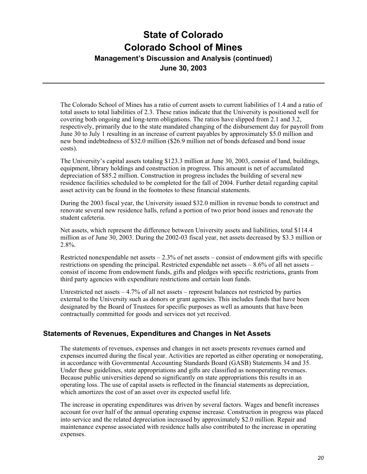**Management's Discussion and Analysis (continued)** 

**June 30, 2003** 

The Colorado School of Mines has a ratio of current assets to current liabilities of 1.4 and a ratio of total assets to total liabilities of 2.3. These ratios indicate that the University is positioned well for covering both ongoing and long-term obligations. The ratios have slipped from 2.1 and 3.2, respectively, primarily due to the state mandated changing of the disbursement day for payroll from June 30 to July 1 resulting in an increase of current payables by approximately \$5.0 million and new bond indebtedness of \$32.0 million (\$26.9 million net of bonds defeased and bond issue costs).

The University's capital assets totaling \$123.3 million at June 30, 2003, consist of land, buildings, equipment, library holdings and construction in progress. This amount is net of accumulated depreciation of \$85.2 million. Construction in progress includes the building of several new residence facilities scheduled to be completed for the fall of 2004. Further detail regarding capital asset activity can be found in the footnotes to these financial statements.

During the 2003 fiscal year, the University issued \$32.0 million in revenue bonds to construct and renovate several new residence halls, refund a portion of two prior bond issues and renovate the student cafeteria.

Net assets, which represent the difference between University assets and liabilities, total \$114.4 million as of June 30, 2003. During the 2002-03 fiscal year, net assets decreased by \$3.3 million or 2.8%.

Restricted nonexpendable net assets  $-2.3\%$  of net assets – consist of endowment gifts with specific restrictions on spending the principal. Restricted expendable net assets – 8.6% of all net assets – consist of income from endowment funds, gifts and pledges with specific restrictions, grants from third party agencies with expenditure restrictions and certain loan funds.

Unrestricted net assets  $-4.7\%$  of all net assets – represent balances not restricted by parties external to the University such as donors or grant agencies. This includes funds that have been designated by the Board of Trustees for specific purposes as well as amounts that have been contractually committed for goods and services not yet received.

## **Statements of Revenues, Expenditures and Changes in Net Assets**

The statements of revenues, expenses and changes in net assets presents revenues earned and expenses incurred during the fiscal year. Activities are reported as either operating or nonoperating, in accordance with Governmental Accounting Standards Board (GASB) Statements 34 and 35. Under these guidelines, state appropriations and gifts are classified as nonoperating revenues. Because public universities depend so significantly on state appropriations this results in an operating loss. The use of capital assets is reflected in the financial statements as depreciation, which amortizes the cost of an asset over its expected useful life.

The increase in operating expenditures was driven by several factors. Wages and benefit increases account for over half of the annual operating expense increase. Construction in progress was placed into service and the related depreciation increased by approximately \$2.0 million. Repair and maintenance expense associated with residence halls also contributed to the increase in operating expenses.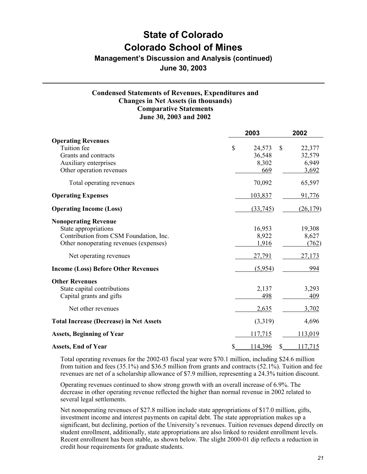**Management's Discussion and Analysis (continued)** 

**June 30, 2003** 

#### **Condensed Statements of Revenues, Expenditures and Changes in Net Assets (in thousands) Comparative Statements June 30, 2003 and 2002**

|                                                |             | 2003      |    | 2002      |
|------------------------------------------------|-------------|-----------|----|-----------|
| <b>Operating Revenues</b>                      |             |           |    |           |
| Tuition fee                                    | $\mathbf S$ | 24,573    | \$ | 22,377    |
| Grants and contracts                           |             | 36,548    |    | 32,579    |
| Auxiliary enterprises                          |             | 8,302     |    | 6,949     |
| Other operation revenues                       |             | 669       |    | 3,692     |
| Total operating revenues                       |             | 70,092    |    | 65,597    |
| <b>Operating Expenses</b>                      |             | 103,837   |    | 91,776    |
| <b>Operating Income (Loss)</b>                 |             | (33, 745) |    | (26, 179) |
| <b>Nonoperating Revenue</b>                    |             |           |    |           |
| State appropriations                           |             | 16,953    |    | 19,308    |
| Contribution from CSM Foundation, Inc.         |             | 8,922     |    | 8,627     |
| Other nonoperating revenues (expenses)         |             | 1,916     |    | (762)     |
| Net operating revenues                         |             | 27,791    |    | 27,173    |
| <b>Income (Loss) Before Other Revenues</b>     |             | (5,954)   |    | 994       |
| <b>Other Revenues</b>                          |             |           |    |           |
| State capital contributions                    |             | 2,137     |    | 3,293     |
| Capital grants and gifts                       |             | 498       |    | 409       |
| Net other revenues                             |             | 2,635     |    | 3,702     |
| <b>Total Increase (Decrease) in Net Assets</b> |             | (3,319)   |    | 4,696     |
| <b>Assets, Beginning of Year</b>               |             | 117,715   |    | 113,019   |
| <b>Assets, End of Year</b>                     | \$          | 114,396   | S  | 117,715   |

Total operating revenues for the 2002-03 fiscal year were \$70.1 million, including \$24.6 million from tuition and fees (35.1%) and \$36.5 million from grants and contracts (52.1%). Tuition and fee revenues are net of a scholarship allowance of \$7.9 million, representing a 24.3% tuition discount.

Operating revenues continued to show strong growth with an overall increase of 6.9%. The decrease in other operating revenue reflected the higher than normal revenue in 2002 related to several legal settlements.

Net nonoperating revenues of \$27.8 million include state appropriations of \$17.0 million, gifts, investment income and interest payments on capital debt. The state appropriation makes up a significant, but declining, portion of the University's revenues. Tuition revenues depend directly on student enrollment, additionally, state appropriations are also linked to resident enrollment levels. Recent enrollment has been stable, as shown below. The slight 2000-01 dip reflects a reduction in credit hour requirements for graduate students.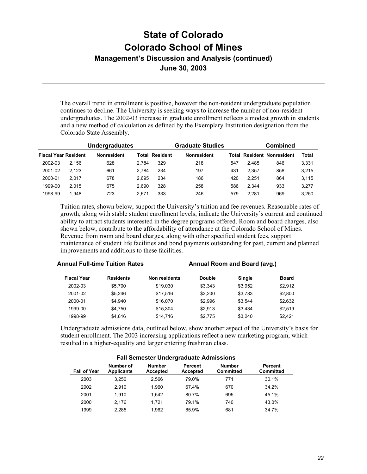**Management's Discussion and Analysis (continued)** 

**June 30, 2003** 

The overall trend in enrollment is positive, however the non-resident undergraduate population continues to decline. The University is seeking ways to increase the number of non-resident undergraduates. The 2002-03 increase in graduate enrollment reflects a modest growth in students and a new method of calculation as defined by the Exemplary Institution designation from the Colorado State Assembly.

| <b>Undergraduates</b>       |       | <b>Graduate Studies</b> |       | <b>Combined</b>       |             |     |       |                                   |       |
|-----------------------------|-------|-------------------------|-------|-----------------------|-------------|-----|-------|-----------------------------------|-------|
| <b>Fiscal Year Resident</b> |       | <b>Nonresident</b>      |       | <b>Total Resident</b> | Nonresident |     |       | <b>Total Resident Nonresident</b> | Total |
| 2002-03                     | 2.156 | 628                     | 2.784 | 329                   | 218         | 547 | 2.485 | 846                               | 3,331 |
| 2001-02                     | 2.123 | 661                     | 2.784 | 234                   | 197         | 431 | 2.357 | 858                               | 3,215 |
| 2000-01                     | 2.017 | 678                     | 2.695 | 234                   | 186         | 420 | 2.251 | 864                               | 3.115 |
| 1999-00                     | 2.015 | 675                     | 2.690 | 328                   | 258         | 586 | 2.344 | 933                               | 3,277 |
| 1998-99                     | 1,948 | 723                     | 2.671 | 333                   | 246         | 579 | 2.281 | 969                               | 3.250 |

Tuition rates, shown below, support the University's tuition and fee revenues. Reasonable rates of growth, along with stable student enrollment levels, indicate the University's current and continued ability to attract students interested in the degree programs offered. Room and board charges, also shown below, contribute to the affordability of attendance at the Colorado School of Mines. Revenue from room and board charges, along with other specified student fees, support maintenance of student life facilities and bond payments outstanding for past, current and planned improvements and additions to these facilities.

| <b>Annual Full-time Tuition Rates</b> |                  |               |         | Annual Room and Board (avg.) |              |
|---------------------------------------|------------------|---------------|---------|------------------------------|--------------|
| <b>Fiscal Year</b>                    | <b>Residents</b> | Non residents | Double  | Single                       | <b>Board</b> |
| 2002-03                               | \$5.700          | \$19,030      | \$3,343 | \$3,952                      | \$2,912      |
| 2001-02                               | \$5.246          | \$17,516      | \$3,200 | \$3.783                      | \$2,800      |
| 2000-01                               | \$4.940          | \$16,070      | \$2.996 | \$3.544                      | \$2,632      |
| 1999-00                               | \$4.750          | \$15,304      | \$2,913 | \$3.434                      | \$2.519      |
| 1998-99                               | \$4.616          | \$14,716      | \$2.775 | \$3.240                      | \$2,421      |

Undergraduate admissions data, outlined below, show another aspect of the University's basis for student enrollment. The 2003 increasing applications reflect a new marketing program, which resulted in a higher-equality and larger entering freshman class.

| <b>Fall Semester Undergraduate Admissions</b>                                                                                                                                                      |       |       |       |     |       |  |  |  |
|----------------------------------------------------------------------------------------------------------------------------------------------------------------------------------------------------|-------|-------|-------|-----|-------|--|--|--|
| Number of<br><b>Number</b><br><b>Number</b><br>Percent<br><b>Percent</b><br><b>Committed</b><br><b>Committed</b><br><b>Fall of Year</b><br><b>Applicants</b><br><b>Accepted</b><br><b>Accepted</b> |       |       |       |     |       |  |  |  |
| 2003                                                                                                                                                                                               | 3.250 | 2.566 | 79.0% | 771 | 30.1% |  |  |  |
| 2002                                                                                                                                                                                               | 2.910 | 1.960 | 67.4% | 670 | 34.2% |  |  |  |
| 2001                                                                                                                                                                                               | 1.910 | 1.542 | 80.7% | 695 | 45.1% |  |  |  |
| 2000                                                                                                                                                                                               | 2.176 | 1.721 | 79.1% | 740 | 43.0% |  |  |  |
| 1999                                                                                                                                                                                               | 2.285 | 1.962 | 85.9% | 681 | 34.7% |  |  |  |

## **Fall Semester Undergraduate Admissions**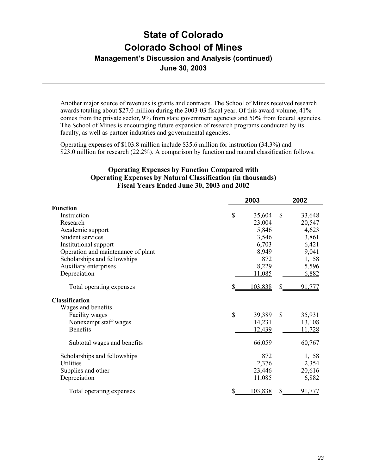**Management's Discussion and Analysis (continued) June 30, 2003** 

Another major source of revenues is grants and contracts. The School of Mines received research awards totaling about \$27.0 million during the 2003-03 fiscal year. Of this award volume, 41% comes from the private sector, 9% from state government agencies and 50% from federal agencies. The School of Mines is encouraging future expansion of research programs conducted by its faculty, as well as partner industries and governmental agencies.

Operating expenses of \$103.8 million include \$35.6 million for instruction (34.3%) and \$23.0 million for research (22.2%). A comparison by function and natural classification follows.

### **Operating Expenses by Function Compared with Operating Expenses by Natural Classification (in thousands) Fiscal Years Ended June 30, 2003 and 2002**

|                                    | 2003          | 2002         |
|------------------------------------|---------------|--------------|
| <b>Function</b>                    |               |              |
| Instruction                        | \$<br>35,604  | \$<br>33,648 |
| Research                           | 23,004        | 20,547       |
| Academic support                   | 5,846         | 4,623        |
| <b>Student services</b>            | 3,546         | 3,861        |
| Institutional support              | 6,703         | 6,421        |
| Operation and maintenance of plant | 8,949         | 9,041        |
| Scholarships and fellowships       | 872           | 1,158        |
| Auxiliary enterprises              | 8,229         | 5,596        |
| Depreciation                       | 11,085        | 6,882        |
| Total operating expenses           | \$<br>103,838 | \$<br>91,777 |
| <b>Classification</b>              |               |              |
| Wages and benefits                 |               |              |
| Facility wages                     | \$<br>39,389  | \$<br>35,931 |
| Nonexempt staff wages              | 14,231        | 13,108       |
| <b>Benefits</b>                    | 12,439        | 11,728       |
| Subtotal wages and benefits        | 66,059        | 60,767       |
| Scholarships and fellowships       | 872           | 1,158        |
| <b>Utilities</b>                   | 2,376         | 2,354        |
| Supplies and other                 | 23,446        | 20,616       |
| Depreciation                       | 11,085        | 6,882        |
| Total operating expenses           | \$<br>103,838 | 91,777       |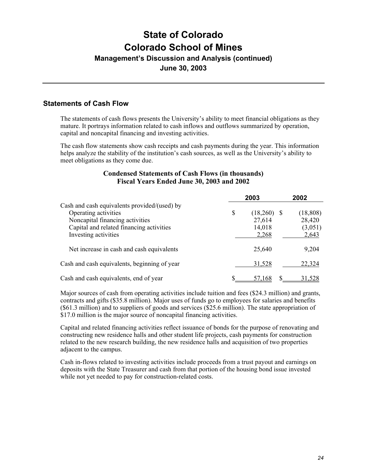# **Management's Discussion and Analysis (continued)**

**June 30, 2003** 

## **Statements of Cash Flow**

The statements of cash flows presents the University's ability to meet financial obligations as they mature. It portrays information related to cash inflows and outflows summarized by operation, capital and noncapital financing and investing activities.

The cash flow statements show cash receipts and cash payments during the year. This information helps analyze the stability of the institution's cash sources, as well as the University's ability to meet obligations as they come due.

### **Condensed Statements of Cash Flows (in thousands) Fiscal Years Ended June 30, 2003 and 2002**

|                                              | 2003                | 2002      |
|----------------------------------------------|---------------------|-----------|
| Cash and cash equivalents provided/(used) by |                     |           |
| Operating activities                         | \$<br>$(18,260)$ \$ | (18, 808) |
| Noncapital financing activities              | 27,614              | 28,420    |
| Capital and related financing activities     | 14,018              | (3,051)   |
| Investing activities                         | 2,268               | 2,643     |
| Net increase in cash and cash equivalents    | 25,640              | 9,204     |
| Cash and cash equivalents, beginning of year | 31,528              | 22,324    |
| Cash and cash equivalents, end of year       |                     | 31.528    |

Major sources of cash from operating activities include tuition and fees (\$24.3 million) and grants, contracts and gifts (\$35.8 million). Major uses of funds go to employees for salaries and benefits (\$61.3 million) and to suppliers of goods and services (\$25.6 million). The state appropriation of \$17.0 million is the major source of noncapital financing activities.

Capital and related financing activities reflect issuance of bonds for the purpose of renovating and constructing new residence halls and other student life projects, cash payments for construction related to the new research building, the new residence halls and acquisition of two properties adjacent to the campus.

Cash in-flows related to investing activities include proceeds from a trust payout and earnings on deposits with the State Treasurer and cash from that portion of the housing bond issue invested while not yet needed to pay for construction-related costs.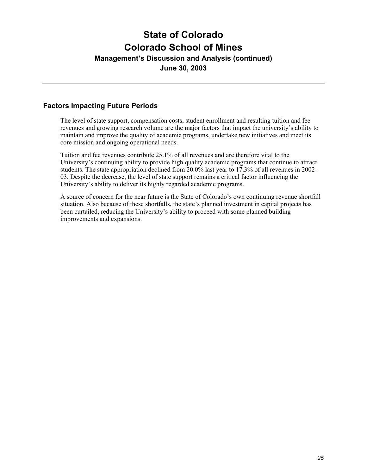**Management's Discussion and Analysis (continued) June 30, 2003** 

### **Factors Impacting Future Periods**

The level of state support, compensation costs, student enrollment and resulting tuition and fee revenues and growing research volume are the major factors that impact the university's ability to maintain and improve the quality of academic programs, undertake new initiatives and meet its core mission and ongoing operational needs.

Tuition and fee revenues contribute 25.1% of all revenues and are therefore vital to the University's continuing ability to provide high quality academic programs that continue to attract students. The state appropriation declined from 20.0% last year to 17.3% of all revenues in 2002- 03. Despite the decrease, the level of state support remains a critical factor influencing the University's ability to deliver its highly regarded academic programs.

A source of concern for the near future is the State of Colorado's own continuing revenue shortfall situation. Also because of these shortfalls, the state's planned investment in capital projects has been curtailed, reducing the University's ability to proceed with some planned building improvements and expansions.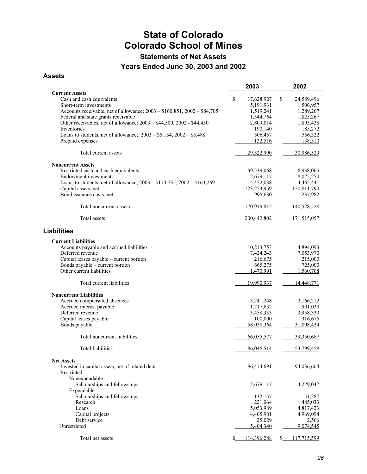**Statements of Net Assets** 

**Years Ended June 30, 2003 and 2002** 

#### **Assets**

|                                                                          |    | 2003        |     | 2002        |
|--------------------------------------------------------------------------|----|-------------|-----|-------------|
| <b>Current Assets</b>                                                    |    |             |     |             |
| Cash and cash equivalents                                                | \$ | 17,628,927  | \$  | 24,589,496  |
| Short-term investments                                                   |    | 5,191,931   |     | 506,957     |
| Accounts receivable, net of allowance; 2003 - \$160,851, 2002 - \$84,705 |    | 1,519,241   |     | 1,289,267   |
| Federal and state grants receivable                                      |    | 1,544,764   |     | 1,825,267   |
| Other receivables, net of allowance; 2003 - \$44,500, 2002 - \$44,450    |    | 2,809,014   |     | 1,895,438   |
| Inventories                                                              |    | 190,140     |     | 185,272     |
| Loans to students, net of allowance; $2003 - $5,154,2002 - $5,488$       |    | 506,457     |     | 556,322     |
| Prepaid expenses                                                         |    | 132,516     |     | 138,510     |
|                                                                          |    |             |     |             |
| Total current assets                                                     |    | 29,522,990  |     | 30,986,529  |
| <b>Noncurrent Assets</b>                                                 |    |             |     |             |
| Restricted cash and cash equivalents                                     |    | 39,539,068  |     | 6,938,065   |
| Endowment investments                                                    |    | 2,679,117   |     | 8,075,250   |
| Loans to students, net of allowance; $2003 - 174,735$ , $2002 - 163,269$ |    | 4,452,038   |     | 4,465,441   |
| Capital assets, net                                                      |    | 123,253,959 |     | 120,811,790 |
| Bond issuance costs, net                                                 |    | 995,630     |     | 237,982     |
| Total noncurrent assets                                                  |    | 170,919,812 |     | 140,528,528 |
| Total assets                                                             |    | 200,442,802 |     | 171,515,057 |
| <b>Liabilities</b>                                                       |    |             |     |             |
|                                                                          |    |             |     |             |
| <b>Current Liabilities</b>                                               |    |             |     |             |
| Accounts payable and accrued liabilities                                 |    | 10,213,753  |     | 4,894,093   |
| Deferred revenue                                                         |    | 7,424,243   |     | 7,053,970   |
| Capital leases payable – current portion                                 |    | 216,675     |     | 215,000     |
| Bonds payable – current portion                                          |    | 665,275     |     | 725,000     |
| Other current liabilities                                                |    | 1,470,991   |     | 1,560,708   |
| Total current liabilities                                                |    | 19,990,937  |     | 14,448,771  |
| <b>Noncurrent Liabilities</b>                                            |    |             |     |             |
| Accrued compensated absences                                             |    | 3,241,248   |     | 3,166,212   |
| Accrued interest payable                                                 |    | 1,217,632   |     | 901,033     |
| Deferred revenue                                                         |    | 3,458,333   |     | 3,958,333   |
| Capital leases payable                                                   |    | 100,000     |     | 316,675     |
| Bonds payable                                                            |    | 58,038,364  |     | 31,008,434  |
|                                                                          |    |             |     |             |
| Total noncurrent liabilities                                             |    | 66,055,577  |     | 39,350,687  |
| <b>Total liabilities</b>                                                 |    | 86,046,514  |     | 53,799,458  |
| <b>Net Assets</b>                                                        |    |             |     |             |
| Invested in capital assets, net of related debt<br>Restricted            |    | 96,474,691  |     | 94,036,604  |
| Nonexpendable                                                            |    |             |     |             |
| Scholarships and fellowships                                             |    | 2,679,117   |     | 4,279,047   |
|                                                                          |    |             |     |             |
| Expendable                                                               |    |             |     |             |
| Scholarships and fellowships                                             |    | 132,157     |     | 51,287      |
| Research                                                                 |    | 221,064     |     | 485,033     |
| Loans                                                                    |    | 5,053,989   |     | 4,817,423   |
| Capital projects                                                         |    | 4,405,901   |     | 4,969,094   |
| Debt service                                                             |    | 25,029      |     | 2,566       |
| Unrestricted                                                             |    | 5,404,340   |     | 9,074,545   |
| Total net assets                                                         | S. | 114,396,288 | \$_ | 117,715,599 |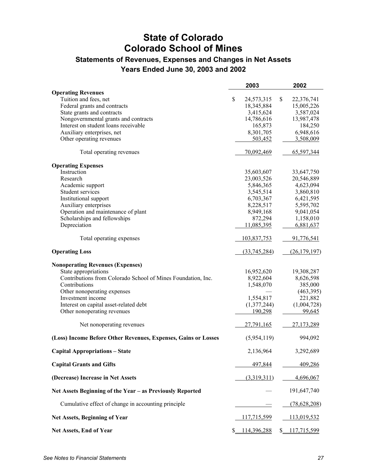# **Statements of Revenues, Expenses and Changes in Net Assets Years Ended June 30, 2003 and 2002**

|                                                                |     | 2003              |    | 2002           |
|----------------------------------------------------------------|-----|-------------------|----|----------------|
| <b>Operating Revenues</b>                                      |     |                   |    |                |
| Tuition and fees, net                                          | \$  | 24,573,315        | \$ | 22,376,741     |
| Federal grants and contracts                                   |     | 18,345,884        |    | 15,005,226     |
| State grants and contracts                                     |     | 3,415,624         |    | 3,587,024      |
| Nongovernmental grants and contracts                           |     | 14,786,616        |    | 13,987,478     |
| Interest on student loans receivable                           |     | 165,873           |    | 184,250        |
| Auxiliary enterprises, net                                     |     | 8,301,705         |    | 6,948,616      |
| Other operating revenues                                       |     | 503,452           |    | 3,508,009      |
| Total operating revenues                                       |     | <u>70,092,469</u> |    | 65,597,344     |
| <b>Operating Expenses</b>                                      |     |                   |    |                |
| Instruction                                                    |     | 35,603,607        |    | 33,647,750     |
| Research                                                       |     | 23,003,526        |    | 20,546,889     |
| Academic support                                               |     | 5,846,365         |    | 4,623,094      |
| Student services                                               |     | 3,545,514         |    | 3,860,810      |
| Institutional support                                          |     | 6,703,367         |    | 6,421,595      |
| Auxiliary enterprises                                          |     | 8,228,517         |    | 5,595,702      |
| Operation and maintenance of plant                             |     | 8,949,168         |    | 9,041,054      |
| Scholarships and fellowships                                   |     | 872,294           |    | 1,158,010      |
| Depreciation                                                   |     | 11,085,395        |    | 6,881,637      |
| Total operating expenses                                       |     | 103,837,753       |    | 91,776,541     |
| <b>Operating Loss</b>                                          |     | (33,745,284)      |    | (26, 179, 197) |
| <b>Nonoperating Revenues (Expenses)</b>                        |     |                   |    |                |
| State appropriations                                           |     | 16,952,620        |    | 19,308,287     |
| Contributions from Colorado School of Mines Foundation, Inc.   |     | 8,922,604         |    | 8,626,598      |
| Contributions                                                  |     | 1,548,070         |    | 385,000        |
| Other nonoperating expenses                                    |     |                   |    | (463,395)      |
| Investment income                                              |     | 1,554,817         |    | 221,882        |
| Interest on capital asset-related debt                         |     | (1,377,244)       |    | (1,004,728)    |
| Other nonoperating revenues                                    |     | 190,298           |    | 99,645         |
| Net nonoperating revenues                                      |     | 27,791,165        |    | 27,173,289     |
| (Loss) Income Before Other Revenues, Expenses, Gains or Losses |     | (5,954,119)       |    | 994,092        |
| <b>Capital Appropriations - State</b>                          |     | 2,136,964         |    | 3,292,689      |
| <b>Capital Grants and Gifts</b>                                |     | 497,844           |    | 409,286        |
| (Decrease) Increase in Net Assets                              |     | (3,319,311)       |    | 4,696,067      |
| Net Assets Beginning of the Year - as Previously Reported      |     |                   |    | 191,647,740    |
| Cumulative effect of change in accounting principle            |     |                   |    | (78,628,208)   |
| <b>Net Assets, Beginning of Year</b>                           |     | 117,715,599       |    | 113,019,532    |
| Net Assets, End of Year                                        | \$. | 114,396,288       | S  | 117,715,599    |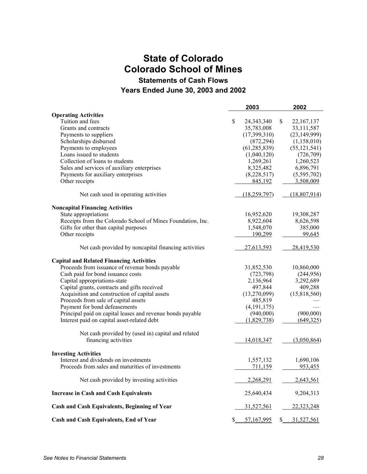# **State of Colorado Colorado School of Mines Statements of Cash Flows**

**Years Ended June 30, 2003 and 2002** 

|                                                             | 2003               |    | 2002              |
|-------------------------------------------------------------|--------------------|----|-------------------|
| <b>Operating Activities</b>                                 |                    |    |                   |
| Tuition and fees                                            | \$<br>24, 343, 340 | \$ | 22, 167, 137      |
| Grants and contracts                                        | 35,783,008         |    | 33,111,587        |
| Payments to suppliers                                       | (17, 399, 310)     |    | (23, 149, 999)    |
| Scholarships disbursed                                      | (872, 294)         |    | (1,158,010)       |
| Payments to employees                                       | (61, 285, 839)     |    | (55, 121, 541)    |
| Loans issued to students                                    | (1,040,120)        |    | (726,709)         |
| Collection of loans to students                             | 1,269,261          |    | 1,260,523         |
| Sales and services of auxiliary enterprises                 | 8,325,482          |    | 6,896,791         |
| Payments for auxiliary enterprises                          | (8,228,517)        |    | (5,595,702)       |
| Other receipts                                              | 845,192            |    | 3,508,009         |
| Net cash used in operating activities                       | (18, 259, 797)     |    | (18,807,914)      |
| <b>Noncapital Financing Activities</b>                      |                    |    |                   |
| State appropriations                                        | 16,952,620         |    | 19,308,287        |
| Receipts from the Colorado School of Mines Foundation, Inc. | 8,922,604          |    | 8,626,598         |
| Gifts for other than capital purposes                       | 1,548,070          |    | 385,000           |
| Other receipts                                              | 190,299            |    | 99,645            |
| Net cash provided by noncapital financing activities        | 27,613,593         |    | 28,419,530        |
| <b>Capital and Related Financing Activities</b>             |                    |    |                   |
| Proceeds from issuance of revenue bonds payable             | 31,852,530         |    | 10,860,000        |
| Cash paid for bond issuance costs                           | (723, 798)         |    | (244, 956)        |
| Capital appropriations-state                                | 2,136,964          |    | 3,292,689         |
| Capital grants, contracts and gifts received                | 497,844            |    | 409,288           |
| Acquisition and construction of capital assets              | (13,270,099)       |    | (15,818,560)      |
| Proceeds from sale of capital assets                        | 485,819            |    |                   |
| Payment for bond defeasements                               | (4,191,175)        |    |                   |
| Principal paid on capital leases and revenue bonds payable  | (940,000)          |    | (900,000)         |
| Interest paid on capital asset-related debt                 | (1,829,738)        |    | (649, 325)        |
| Net cash provided by (used in) capital and related          |                    |    |                   |
| financing activities                                        | 14,018,347         |    | (3,050,864)       |
| <b>Investing Activities</b>                                 |                    |    |                   |
| Interest and dividends on investments                       | 1,557,132          |    | 1,690,106         |
| Proceeds from sales and maturities of investments           | 711,159            |    | 953,455           |
| Net cash provided by investing activities                   | 2,268,291          |    | 2,643,561         |
| <b>Increase in Cash and Cash Equivalents</b>                | 25,640,434         |    | 9,204,313         |
| Cash and Cash Equivalents, Beginning of Year                | 31,527,561         |    | <u>22,323,248</u> |
| Cash and Cash Equivalents, End of Year                      | \$<br>57,167,995   | S_ | 31,527,561        |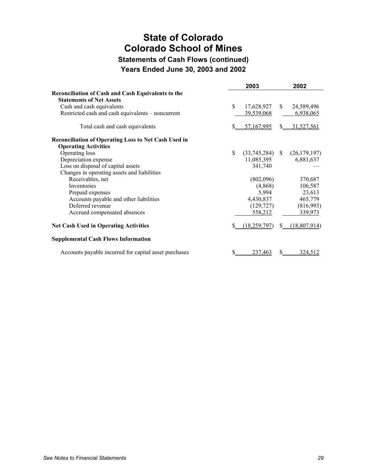# **Statements of Cash Flows (continued) Years Ended June 30, 2003 and 2002**

|                                                             | 2003                | 2002                           |
|-------------------------------------------------------------|---------------------|--------------------------------|
| Reconciliation of Cash and Cash Equivalents to the          |                     |                                |
| <b>Statements of Net Assets</b>                             |                     |                                |
| Cash and cash equivalents                                   | \$<br>17,628,927    | <sup>\$</sup><br>24,589,496    |
| Restricted cash and cash equivalents - noncurrent           | 39,539,068          | 6,938,065                      |
| Total cash and cash equivalents                             | \$.<br>57,167,995   | 31,527,561                     |
| <b>Reconciliation of Operating Loss to Net Cash Used in</b> |                     |                                |
| <b>Operating Activities</b>                                 |                     |                                |
| Operating loss                                              | \$<br>(33,745,284)  | (26, 179, 197)<br><sup>S</sup> |
| Depreciation expense                                        | 11,085,395          | 6,881,637                      |
| Loss on disposal of capital assets                          | 341,740             |                                |
| Changes in operating assets and liabilities                 |                     |                                |
| Receivables, net                                            | (802,096)           | 370,687                        |
| Inventories                                                 | (4,868)             | 106,587                        |
| Prepaid expenses                                            | 5,994               | 23,613                         |
| Accounts payable and other liabilities                      | 4,430,837           | 465,779                        |
| Deferred revenue                                            | (129, 727)          | (816,993)                      |
| Accrued compensated absences                                | 558,212             | 339,973                        |
| <b>Net Cash Used in Operating Activities</b>                | (18, 259, 797)<br>S | (18,807,914)<br>S.             |
| <b>Supplemental Cash Flows Information</b>                  |                     |                                |
| Accounts payable incurred for capital asset purchases       | 237,463             | 324,512                        |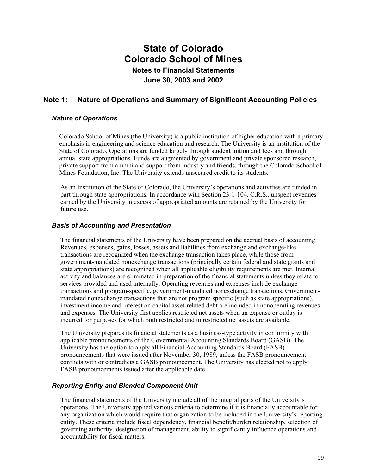## **Note 1: Nature of Operations and Summary of Significant Accounting Policies**

#### *Nature of Operations*

Colorado School of Mines (the University) is a public institution of higher education with a primary emphasis in engineering and science education and research. The University is an institution of the State of Colorado. Operations are funded largely through student tuition and fees and through annual state appropriations. Funds are augmented by government and private sponsored research, private support from alumni and support from industry and friends, through the Colorado School of Mines Foundation, Inc. The University extends unsecured credit to its students.

As an Institution of the State of Colorado, the University's operations and activities are funded in part through state appropriations. In accordance with Section 23-1-104, C.R.S., unspent revenues earned by the University in excess of appropriated amounts are retained by the University for future use.

#### *Basis of Accounting and Presentation*

The financial statements of the University have been prepared on the accrual basis of accounting. Revenues, expenses, gains, losses, assets and liabilities from exchange and exchange-like transactions are recognized when the exchange transaction takes place, while those from government-mandated nonexchange transactions (principally certain federal and state grants and state appropriations) are recognized when all applicable eligibility requirements are met. Internal activity and balances are eliminated in preparation of the financial statements unless they relate to services provided and used internally. Operating revenues and expenses include exchange transactions and program-specific, government-mandated nonexchange transactions. Governmentmandated nonexchange transactions that are not program specific (such as state appropriations), investment income and interest on capital asset-related debt are included in nonoperating revenues and expenses. The University first applies restricted net assets when an expense or outlay is incurred for purposes for which both restricted and unrestricted net assets are available.

The University prepares its financial statements as a business-type activity in conformity with applicable pronouncements of the Governmental Accounting Standards Board (GASB). The University has the option to apply all Financial Accounting Standards Board (FASB) pronouncements that were issued after November 30, 1989, unless the FASB pronouncement conflicts with or contradicts a GASB pronouncement. The University has elected not to apply FASB pronouncements issued after the applicable date.

#### *Reporting Entity and Blended Component Unit*

The financial statements of the University include all of the integral parts of the University's operations. The University applied various criteria to determine if it is financially accountable for any organization which would require that organization to be included in the University's reporting entity. These criteria include fiscal dependency, financial benefit/burden relationship, selection of governing authority, designation of management, ability to significantly influence operations and accountability for fiscal matters.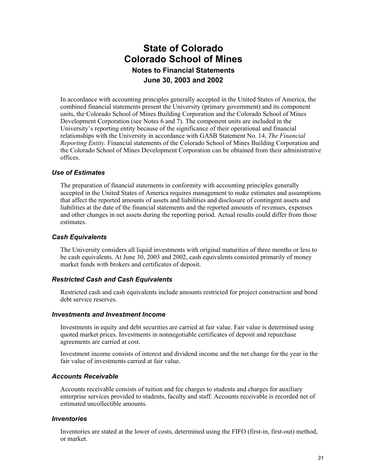In accordance with accounting principles generally accepted in the United States of America, the combined financial statements present the University (primary government) and its component units, the Colorado School of Mines Building Corporation and the Colorado School of Mines Development Corporation (see Notes 6 and 7). The component units are included in the University's reporting entity because of the significance of their operational and financial relationships with the University in accordance with GASB Statement No. 14, *The Financial Reporting Entity.* Financial statements of the Colorado School of Mines Building Corporation and the Colorado School of Mines Development Corporation can be obtained from their administrative offices.

#### *Use of Estimates*

The preparation of financial statements in conformity with accounting principles generally accepted in the United States of America requires management to make estimates and assumptions that affect the reported amounts of assets and liabilities and disclosure of contingent assets and liabilities at the date of the financial statements and the reported amounts of revenues, expenses and other changes in net assets during the reporting period. Actual results could differ from those estimates.

#### *Cash Equivalents*

The University considers all liquid investments with original maturities of three months or less to be cash equivalents. At June 30, 2003 and 2002, cash equivalents consisted primarily of money market funds with brokers and certificates of deposit.

#### *Restricted Cash and Cash Equivalents*

Restricted cash and cash equivalents include amounts restricted for project construction and bond debt service reserves.

#### *Investments and Investment Income*

Investments in equity and debt securities are carried at fair value. Fair value is determined using quoted market prices. Investments in nonnegotiable certificates of deposit and repurchase agreements are carried at cost.

Investment income consists of interest and dividend income and the net change for the year in the fair value of investments carried at fair value.

#### *Accounts Receivable*

Accounts receivable consists of tuition and fee charges to students and charges for auxiliary enterprise services provided to students, faculty and staff. Accounts receivable is recorded net of estimated uncollectible amounts.

#### *Inventories*

Inventories are stated at the lower of costs, determined using the FIFO (first-in, first-out) method, or market.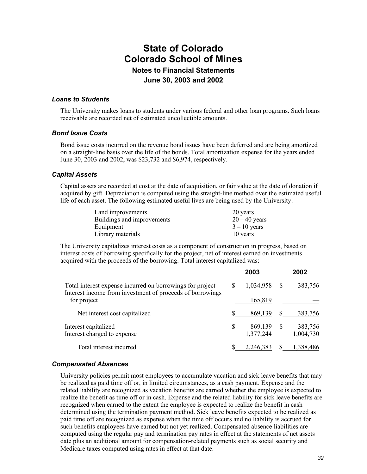#### *Loans to Students*

The University makes loans to students under various federal and other loan programs. Such loans receivable are recorded net of estimated uncollectible amounts.

#### *Bond Issue Costs*

Bond issue costs incurred on the revenue bond issues have been deferred and are being amortized on a straight-line basis over the life of the bonds. Total amortization expense for the years ended June 30, 2003 and 2002, was \$23,732 and \$6,974, respectively.

#### *Capital Assets*

Capital assets are recorded at cost at the date of acquisition, or fair value at the date of donation if acquired by gift. Depreciation is computed using the straight-line method over the estimated useful life of each asset. The following estimated useful lives are being used by the University:

| Land improvements          | 20 years        |
|----------------------------|-----------------|
| Buildings and improvements | $20 - 40$ years |
| Equipment                  | $3 - 10$ years  |
| Library materials          | 10 years        |

The University capitalizes interest costs as a component of construction in progress, based on interest costs of borrowing specifically for the project, net of interest earned on investments acquired with the proceeds of the borrowing. Total interest capitalized was:

|                                                                                                                        |   | 2003                 |   | 2002                 |
|------------------------------------------------------------------------------------------------------------------------|---|----------------------|---|----------------------|
| Total interest expense incurred on borrowings for project<br>Interest income from investment of proceeds of borrowings |   | 1,034,958            | S | 383,756              |
| for project                                                                                                            |   | 165,819              |   |                      |
| Net interest cost capitalized                                                                                          |   | 869.139              |   | 383,756              |
| Interest capitalized<br>Interest charged to expense                                                                    | S | 869,139<br>1,377,244 |   | 383,756<br>1,004,730 |
| Total interest incurred                                                                                                |   | 2.246.383            |   | .388.486             |

#### *Compensated Absences*

University policies permit most employees to accumulate vacation and sick leave benefits that may be realized as paid time off or, in limited circumstances, as a cash payment. Expense and the related liability are recognized as vacation benefits are earned whether the employee is expected to realize the benefit as time off or in cash. Expense and the related liability for sick leave benefits are recognized when earned to the extent the employee is expected to realize the benefit in cash determined using the termination payment method. Sick leave benefits expected to be realized as paid time off are recognized as expense when the time off occurs and no liability is accrued for such benefits employees have earned but not yet realized. Compensated absence liabilities are computed using the regular pay and termination pay rates in effect at the statements of net assets date plus an additional amount for compensation-related payments such as social security and Medicare taxes computed using rates in effect at that date.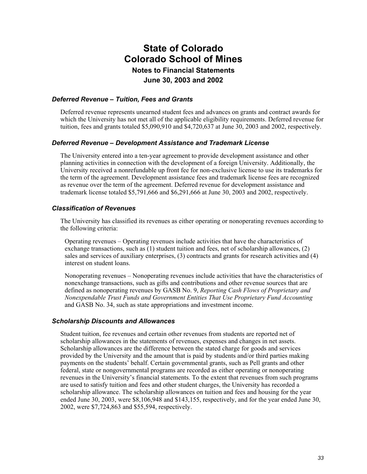#### *Deferred Revenue – Tuition, Fees and Grants*

Deferred revenue represents unearned student fees and advances on grants and contract awards for which the University has not met all of the applicable eligibility requirements. Deferred revenue for tuition, fees and grants totaled \$5,090,910 and \$4,720,637 at June 30, 2003 and 2002, respectively.

#### *Deferred Revenue – Development Assistance and Trademark License*

The University entered into a ten-year agreement to provide development assistance and other planning activities in connection with the development of a foreign University. Additionally, the University received a nonrefundable up front fee for non-exclusive license to use its trademarks for the term of the agreement. Development assistance fees and trademark license fees are recognized as revenue over the term of the agreement. Deferred revenue for development assistance and trademark license totaled \$5,791,666 and \$6,291,666 at June 30, 2003 and 2002, respectively.

#### *Classification of Revenues*

The University has classified its revenues as either operating or nonoperating revenues according to the following criteria:

Operating revenues – Operating revenues include activities that have the characteristics of exchange transactions, such as (1) student tuition and fees, net of scholarship allowances, (2) sales and services of auxiliary enterprises, (3) contracts and grants for research activities and (4) interest on student loans.

Nonoperating revenues – Nonoperating revenues include activities that have the characteristics of nonexchange transactions, such as gifts and contributions and other revenue sources that are defined as nonoperating revenues by GASB No. 9, *Reporting Cash Flows of Proprietary and Nonexpendable Trust Funds and Government Entities That Use Proprietary Fund Accounting* and GASB No. 34, such as state appropriations and investment income.

#### *Scholarship Discounts and Allowances*

Student tuition, fee revenues and certain other revenues from students are reported net of scholarship allowances in the statements of revenues, expenses and changes in net assets. Scholarship allowances are the difference between the stated charge for goods and services provided by the University and the amount that is paid by students and/or third parties making payments on the students' behalf. Certain governmental grants, such as Pell grants and other federal, state or nongovernmental programs are recorded as either operating or nonoperating revenues in the University's financial statements. To the extent that revenues from such programs are used to satisfy tuition and fees and other student charges, the University has recorded a scholarship allowance. The scholarship allowances on tuition and fees and housing for the year ended June 30, 2003, were \$8,106,948 and \$143,155, respectively, and for the year ended June 30, 2002, were \$7,724,863 and \$55,594, respectively.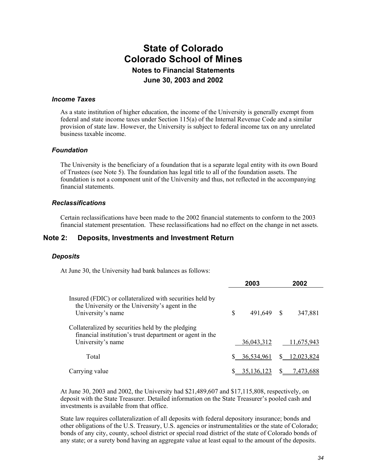#### *Income Taxes*

As a state institution of higher education, the income of the University is generally exempt from federal and state income taxes under Section 115(a) of the Internal Revenue Code and a similar provision of state law. However, the University is subject to federal income tax on any unrelated business taxable income.

#### *Foundation*

The University is the beneficiary of a foundation that is a separate legal entity with its own Board of Trustees (see Note 5). The foundation has legal title to all of the foundation assets. The foundation is not a component unit of the University and thus, not reflected in the accompanying financial statements.

#### *Reclassifications*

Certain reclassifications have been made to the 2002 financial statements to conform to the 2003 financial statement presentation. These reclassifications had no effect on the change in net assets.

#### **Note 2: Deposits, Investments and Investment Return**

#### *Deposits*

At June 30, the University had bank balances as follows:

|                                                                                                                                    |   | 2003         | 2002       |
|------------------------------------------------------------------------------------------------------------------------------------|---|--------------|------------|
| Insured (FDIC) or collateralized with securities held by<br>the University or the University's agent in the<br>University's name   | S | 491,649      | 347,881    |
| Collateralized by securities held by the pledging<br>financial institution's trust department or agent in the<br>University's name |   | 36,043,312   | 11,675,943 |
| Total                                                                                                                              |   | 36,534,961   | 12,023,824 |
| Carrying value                                                                                                                     |   | 35, 136, 123 | 7,473,688  |

At June 30, 2003 and 2002, the University had \$21,489,607 and \$17,115,808, respectively, on deposit with the State Treasurer. Detailed information on the State Treasurer's pooled cash and investments is available from that office.

State law requires collateralization of all deposits with federal depository insurance; bonds and other obligations of the U.S. Treasury, U.S. agencies or instrumentalities or the state of Colorado; bonds of any city, county, school district or special road district of the state of Colorado bonds of any state; or a surety bond having an aggregate value at least equal to the amount of the deposits.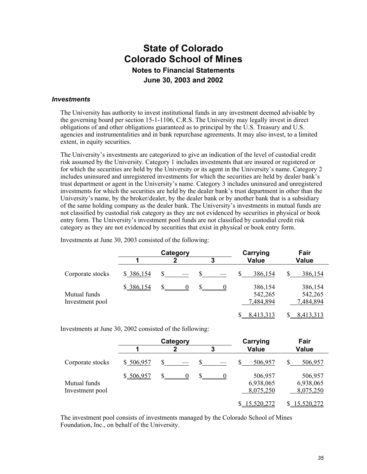#### *Investments*

The University has authority to invest institutional funds in any investment deemed advisable by the governing board per section 15-1-1106, C.R.S. The University may legally invest in direct obligations of and other obligations guaranteed as to principal by the U.S. Treasury and U.S. agencies and instrumentalities and in bank repurchase agreements. It may also invest, to a limited extent, in equity securities.

The University's investments are categorized to give an indication of the level of custodial credit risk assumed by the University. Category 1 includes investments that are insured or registered or for which the securities are held by the University or its agent in the University's name. Category 2 includes uninsured and unregistered investments for which the securities are held by dealer bank's trust department or agent in the University's name. Category 3 includes uninsured and unregistered investments for which the securities are held by the dealer bank's trust department in other than the University's name, by the broker/dealer, by the dealer bank or by another bank that is a subsidiary of the same holding company as the dealer bank. The University's investments in mutual funds are not classified by custodial risk category as they are not evidenced by securities in physical or book entry form. The University's investment pool funds are not classified by custodial credit risk category as they are not evidenced by securities that exist in physical or book entry form.

|                                 |           | Category |   | Carrying                        | Fair                            |
|---------------------------------|-----------|----------|---|---------------------------------|---------------------------------|
|                                 |           | 2        | 3 | <b>Value</b>                    | <b>Value</b>                    |
| Corporate stocks                | \$386,154 | \$       |   | 386,154                         | 386,154                         |
| Mutual funds<br>Investment pool | \$386,154 |          |   | 386,154<br>542,265<br>7,484,894 | 386,154<br>542,265<br>7,484,894 |
|                                 |           |          |   | 8,413,313                       | 8.413.313                       |

Investments at June 30, 2003 consisted of the following:

Investments at June 30, 2002 consisted of the following:

|                                 |           | Category |   | Carrying                          | Fair                              |
|---------------------------------|-----------|----------|---|-----------------------------------|-----------------------------------|
|                                 |           | 2        | 3 | <b>Value</b>                      | Value                             |
| Corporate stocks                | \$506,957 | \$       |   | 506,957                           | 506,957                           |
| Mutual funds<br>Investment pool | \$506,957 |          |   | 506,957<br>6,938,065<br>8,075,250 | 506,957<br>6,938,065<br>8,075,250 |
|                                 |           |          |   | 15,520,272                        | 15,520,272                        |

 The investment pool consists of investments managed by the Colorado School of Mines Foundation, Inc., on behalf of the University.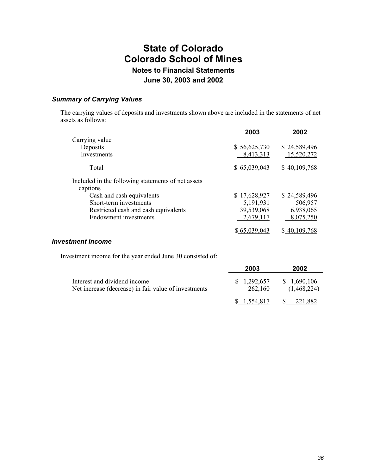### *Summary of Carrying Values*

The carrying values of deposits and investments shown above are included in the statements of net assets as follows:

|                                                                | 2003                      | 2002                       |
|----------------------------------------------------------------|---------------------------|----------------------------|
| Carrying value<br>Deposits<br>Investments                      | \$56,625,730<br>8,413,313 | \$24,589,496<br>15,520,272 |
| Total                                                          | \$65,039,043              | \$40,109,768               |
| Included in the following statements of net assets<br>captions |                           |                            |
| Cash and cash equivalents                                      | \$17,628,927              | \$24,589,496               |
| Short-term investments                                         | 5,191,931                 | 506,957                    |
| Restricted cash and cash equivalents                           | 39,539,068                | 6,938,065                  |
| Endowment investments                                          | 2,679,117                 | 8,075,250                  |
|                                                                | \$65,039,043              | \$40.109.768               |

#### *Investment Income*

Investment income for the year ended June 30 consisted of:

|                                                                                      | 2003                   | 2002                       |
|--------------------------------------------------------------------------------------|------------------------|----------------------------|
| Interest and dividend income<br>Net increase (decrease) in fair value of investments | \$1,292,657<br>262,160 | \$1,690,106<br>(1,468,224) |
|                                                                                      | \$1554817              | 221.882                    |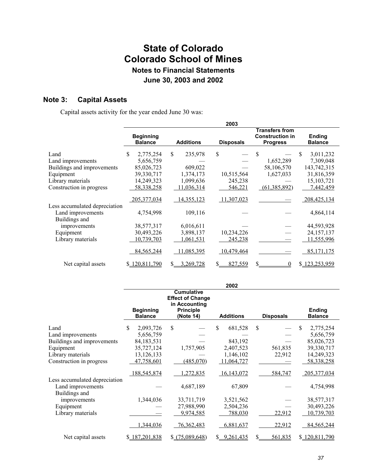# **Note 3: Capital Assets**

Capital assets activity for the year ended June 30 was:

|                                                                     |                                    |                  | 2003             |                                                                    |                                 |  |
|---------------------------------------------------------------------|------------------------------------|------------------|------------------|--------------------------------------------------------------------|---------------------------------|--|
|                                                                     | <b>Beginning</b><br><b>Balance</b> | <b>Additions</b> | <b>Disposals</b> | <b>Transfers from</b><br><b>Construction in</b><br><b>Progress</b> | <b>Ending</b><br><b>Balance</b> |  |
| Land                                                                | S<br>2,775,254                     | \$<br>235,978    | \$               | -S                                                                 | 3,011,232<br><b>S</b>           |  |
| Land improvements                                                   | 5,656,759                          |                  |                  | 1,652,289                                                          | 7,309,048                       |  |
| Buildings and improvements                                          | 85,026,723                         | 609,022          |                  | 58,106,570                                                         | 143,742,315                     |  |
| Equipment                                                           | 39,330,717                         | 1,374,173        | 10,515,564       | 1,627,033                                                          | 31,816,359                      |  |
| Library materials                                                   | 14,249,323                         | 1,099,636        | 245,238          |                                                                    | 15, 103, 721                    |  |
| Construction in progress                                            | 58,338,258                         | 11,036,314       | 546,221          | (61,385,892)                                                       | 7,442,459                       |  |
|                                                                     | 205, 377, 034                      | 14, 355, 123     | 11,307,023       |                                                                    | 208, 425, 134                   |  |
| Less accumulated depreciation<br>Land improvements<br>Buildings and | 4,754,998                          | 109,116          |                  |                                                                    | 4,864,114                       |  |
| improvements                                                        | 38,577,317                         | 6,016,611        |                  |                                                                    | 44,593,928                      |  |
| Equipment                                                           | 30,493,226                         | 3,898,137        | 10,234,226       |                                                                    | 24, 157, 137                    |  |
| Library materials                                                   | 10,739,703                         | 1,061,531        | 245,238          |                                                                    | 11,555,996                      |  |
|                                                                     | 84, 565, 244                       | 11,085,395       | 10,479,464       |                                                                    | 85, 171, 175                    |  |
| Net capital assets                                                  | \$120,811,790                      | 3,269,728<br>S.  | 827,559<br>S.    | S<br>0                                                             | \$123,253,959                   |  |

|                                                                     |                                    |                                                                                                | 2002             |                  |                                 |
|---------------------------------------------------------------------|------------------------------------|------------------------------------------------------------------------------------------------|------------------|------------------|---------------------------------|
|                                                                     | <b>Beginning</b><br><b>Balance</b> | <b>Cumulative</b><br><b>Effect of Change</b><br>in Accounting<br><b>Principle</b><br>(Note 14) | <b>Additions</b> | <b>Disposals</b> | <b>Ending</b><br><b>Balance</b> |
| Land                                                                | \$<br>2,093,726                    | \$                                                                                             | \$<br>681,528    | \$               | 2,775,254                       |
| Land improvements                                                   | 5,656,759                          |                                                                                                |                  |                  | 5,656,759                       |
| Buildings and improvements                                          | 84,183,531                         |                                                                                                | 843,192          |                  | 85,026,723                      |
| Equipment                                                           | 35,727,124                         | 1,757,905                                                                                      | 2,407,523        | 561,835          | 39,330,717                      |
| Library materials                                                   | 13, 126, 133                       |                                                                                                | 1,146,102        | 22,912           | 14,249,323                      |
| Construction in progress                                            | 47,758,601                         | (485,070)                                                                                      | 11,064,727       |                  | 58,338,258                      |
|                                                                     | 188,545,874                        | ,272,835                                                                                       | 16,143,072       | 584,747          | 205, 377, 034                   |
| Less accumulated depreciation<br>Land improvements<br>Buildings and |                                    | 4,687,189                                                                                      | 67,809           |                  | 4,754,998                       |
| improvements                                                        | 1,344,036                          | 33,711,719                                                                                     | 3,521,562        |                  | 38,577,317                      |
| Equipment                                                           |                                    | 27,988,990                                                                                     | 2,504,236        |                  | 30,493,226                      |
| Library materials                                                   |                                    | 9,974,585                                                                                      | 788,030          | 22,912           | 10,739,703                      |
|                                                                     | 1,344,036                          | 76,362,483                                                                                     | 6,881,637        | 22,912           | 84,565,244                      |
| Net capital assets                                                  | \$187,201,838                      | \$(75,089,648)                                                                                 | \$9,261,435      | 561,835<br>S     | \$120,811,790                   |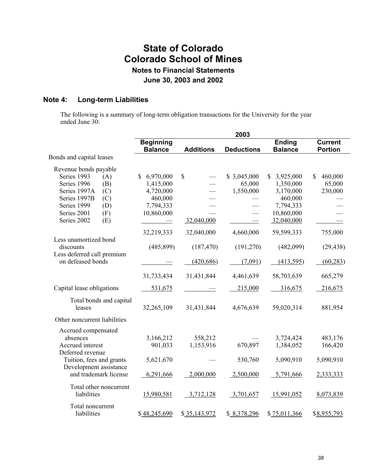## **Note 4: Long-term Liabilities**

The following is a summary of long-term obligation transactions for the University for the year ended June 30:

|                                                                        |                                    |                  | 2003              |                                 |                                  |  |
|------------------------------------------------------------------------|------------------------------------|------------------|-------------------|---------------------------------|----------------------------------|--|
|                                                                        | <b>Beginning</b><br><b>Balance</b> | <b>Additions</b> | <b>Deductions</b> | <b>Ending</b><br><b>Balance</b> | <b>Current</b><br><b>Portion</b> |  |
| Bonds and capital leases                                               |                                    |                  |                   |                                 |                                  |  |
| Revenue bonds payable                                                  |                                    |                  |                   |                                 |                                  |  |
| Series 1993<br>(A)                                                     | $\mathbb{S}$<br>6,970,000          | \$               | \$3,045,000       | \$3,925,000                     | 460,000<br>\$                    |  |
| Series 1996<br>(B)                                                     | 1,415,000                          |                  | 65,000            | 1,350,000                       | 65,000                           |  |
| Series 1997A<br>(C)                                                    | 4,720,000                          |                  | 1,550,000         | 3,170,000                       | 230,000                          |  |
| Series 1997B<br>(C)                                                    | 460,000                            |                  |                   | 460,000                         |                                  |  |
| Series 1999<br>(D)                                                     | 7,794,333                          |                  |                   | 7,794,333                       |                                  |  |
| Series 2001<br>(F)                                                     | 10,860,000                         |                  |                   | 10,860,000                      |                                  |  |
| Series 2002<br>(E)                                                     |                                    | 32,040,000       |                   | 32,040,000                      |                                  |  |
|                                                                        | 32,219,333                         | 32,040,000       | 4,660,000         | 59,599,333                      | 755,000                          |  |
| Less unamortized bond<br>discounts<br>Less deferred call premium       | (485, 899)                         | (187, 470)       | (191, 270)        | (482,099)                       | (29, 438)                        |  |
| on defeased bonds                                                      |                                    | (420, 686)       | (7,091)           | (413,595)                       | (60, 283)                        |  |
|                                                                        | 31,733,434                         | 31,431,844       | 4,461,639         | 58,703,639                      | 665,279                          |  |
| Capital lease obligations                                              | 531,675                            |                  | 215,000           | 316,675                         | 216,675                          |  |
| Total bonds and capital<br>leases                                      | 32,265,109                         | 31,431,844       | 4,676,639         | 59,020,314                      | 881,954                          |  |
| Other noncurrent liabilities                                           |                                    |                  |                   |                                 |                                  |  |
| Accrued compensated                                                    |                                    |                  |                   |                                 |                                  |  |
| absences                                                               | 3,166,212                          | 558,212          |                   | 3,724,424                       | 483,176                          |  |
| Accrued interest                                                       | 901,033                            | 1,153,916        | 670,897           | 1,384,052                       | 166,420                          |  |
| Deferred revenue<br>Tuition, fees and grants<br>Development assistance | 5,621,670                          |                  | 530,760           | 5,090,910                       | 5,090,910                        |  |
| and trademark license                                                  | 6,291,666                          | 2,000,000        | 2,500,000         | 5,791,666                       | 2,333,333                        |  |
| Total other noncurrent<br>liabilities                                  | 15,980,581                         | 3,712,128        | 3,701,657         | 15,991,052                      | 8,073,839                        |  |
| Total noncurrent<br>liabilities                                        | \$48,245,690                       | \$35,143,972     | \$8,378,296       | \$75,011,366                    | \$8,955,793                      |  |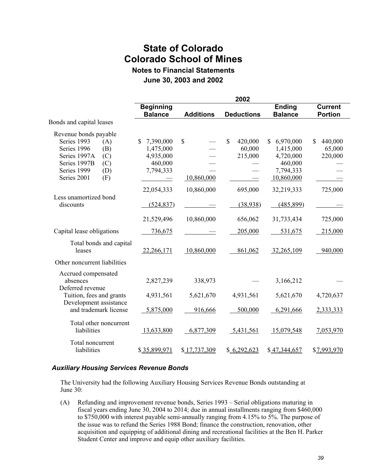## **Notes to Financial Statements June 30, 2003 and 2002**

|                                                                                        |                                    |                  | 2002                    |                                                 |                                  |
|----------------------------------------------------------------------------------------|------------------------------------|------------------|-------------------------|-------------------------------------------------|----------------------------------|
|                                                                                        | <b>Beginning</b><br><b>Balance</b> | <b>Additions</b> | <b>Deductions</b>       | Ending<br><b>Balance</b>                        | <b>Current</b><br><b>Portion</b> |
| Bonds and capital leases                                                               |                                    |                  |                         |                                                 |                                  |
| Revenue bonds payable<br>Series 1993<br>(A)<br>Series 1996<br>(B)                      | \$<br>7,390,000<br>1,475,000       | $\mathbb{S}$     | \$<br>420,000<br>60,000 | $\mathbb{S}$<br>6,970,000<br>1,415,000          | $\mathbf S$<br>440,000<br>65,000 |
| Series 1997A<br>(C)<br>Series 1997B<br>(C)<br>Series 1999<br>(D)<br>Series 2001<br>(F) | 4,935,000<br>460,000<br>7,794,333  | 10,860,000       | 215,000                 | 4,720,000<br>460,000<br>7,794,333<br>10,860,000 | 220,000                          |
| Less unamortized bond                                                                  | 22,054,333                         | 10,860,000       | 695,000                 | 32,219,333                                      | 725,000                          |
| discounts                                                                              | (524, 837)                         |                  | (38,938)                | (485, 899)                                      |                                  |
|                                                                                        | 21,529,496                         | 10,860,000       | 656,062                 | 31,733,434                                      | 725,000                          |
| Capital lease obligations                                                              | 736,675                            |                  | 205,000                 | 531,675                                         | 215,000                          |
| Total bonds and capital<br>leases                                                      | 22,266,171                         | 10,860,000       | 861,062                 | 32,265,109                                      | 940,000                          |
| Other noncurrent liabilities                                                           |                                    |                  |                         |                                                 |                                  |
| Accrued compensated<br>absences<br>Deferred revenue                                    | 2,827,239                          | 338,973          |                         | 3,166,212                                       |                                  |
| Tuition, fees and grants                                                               | 4,931,561                          | 5,621,670        | 4,931,561               | 5,621,670                                       | 4,720,637                        |
| Development assistance<br>and trademark license                                        | 5,875,000                          | 916,666          | 500,000                 | 6,291,666                                       | 2,333,333                        |
| Total other noncurrent<br>liabilities                                                  | 13,633,800                         | 6,877,309        | 5,431,561               | 15,079,548                                      | 7,053,970                        |
| Total noncurrent<br>liabilities                                                        | \$35,899,971                       | \$17,737,309     | \$6,292,623             | \$47,344,657                                    | \$7,993,970                      |

#### *Auxiliary Housing Services Revenue Bonds*

The University had the following Auxiliary Housing Services Revenue Bonds outstanding at June 30:

(A) Refunding and improvement revenue bonds, Series 1993 – Serial obligations maturing in fiscal years ending June 30, 2004 to 2014; due in annual installments ranging from \$460,000 to \$750,000 with interest payable semi-annually ranging from 4.15% to 5%. The purpose of the issue was to refund the Series 1988 Bond; finance the construction, renovation, other acquisition and equipping of additional dining and recreational facilities at the Ben H. Parker Student Center and improve and equip other auxiliary facilities.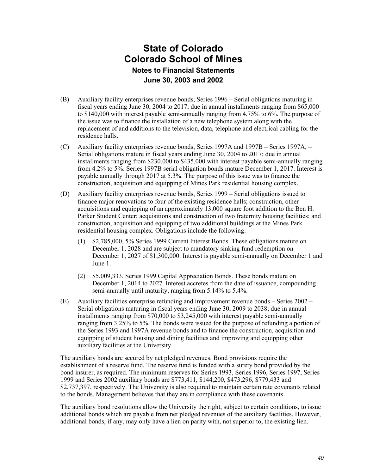- (B) Auxiliary facility enterprises revenue bonds, Series 1996 Serial obligations maturing in fiscal years ending June 30, 2004 to 2017; due in annual installments ranging from \$65,000 to \$140,000 with interest payable semi-annually ranging from 4.75% to 6%. The purpose of the issue was to finance the installation of a new telephone system along with the replacement of and additions to the television, data, telephone and electrical cabling for the residence halls.
- (C) Auxiliary facility enterprises revenue bonds, Series 1997A and 1997B Series 1997A, Serial obligations mature in fiscal years ending June 30, 2004 to 2017; due in annual installments ranging from \$230,000 to \$435,000 with interest payable semi-annually ranging from 4.2% to 5%. Series 1997B serial obligation bonds mature December 1, 2017. Interest is payable annually through 2017 at 5.3%. The purpose of this issue was to finance the construction, acquisition and equipping of Mines Park residential housing complex.
- (D) Auxiliary facility enterprises revenue bonds, Series 1999 Serial obligations issued to finance major renovations to four of the existing residence halls; construction, other acquisitions and equipping of an approximately 13,000 square foot addition to the Ben H. Parker Student Center; acquisitions and construction of two fraternity housing facilities; and construction, acquisition and equipping of two additional buildings at the Mines Park residential housing complex. Obligations include the following:
	- (1) \$2,785,000, 5% Series 1999 Current Interest Bonds. These obligations mature on December 1, 2028 and are subject to mandatory sinking fund redemption on December 1, 2027 of \$1,300,000. Interest is payable semi-annually on December 1 and June 1.
	- (2) \$5,009,333, Series 1999 Capital Appreciation Bonds. These bonds mature on December 1, 2014 to 2027. Interest accretes from the date of issuance, compounding semi-annually until maturity, ranging from 5.14% to 5.4%.
- (E) Auxiliary facilities enterprise refunding and improvement revenue bonds Series 2002 Serial obligations maturing in fiscal years ending June 30, 2009 to 2038; due in annual installments ranging from \$70,000 to \$3,245,000 with interest payable semi-annually ranging from 3.25% to 5%. The bonds were issued for the purpose of refunding a portion of the Series 1993 and 1997A revenue bonds and to finance the construction, acquisition and equipping of student housing and dining facilities and improving and equipping other auxiliary facilities at the University.

The auxiliary bonds are secured by net pledged revenues. Bond provisions require the establishment of a reserve fund. The reserve fund is funded with a surety bond provided by the bond insurer, as required. The minimum reserves for Series 1993, Series 1996, Series 1997, Series 1999 and Series 2002 auxiliary bonds are \$773,411, \$144,200, \$473,296, \$779,433 and \$2,737,397, respectively. The University is also required to maintain certain rate covenants related to the bonds. Management believes that they are in compliance with these covenants.

The auxiliary bond resolutions allow the University the right, subject to certain conditions, to issue additional bonds which are payable from net pledged revenues of the auxiliary facilities. However, additional bonds, if any, may only have a lien on parity with, not superior to, the existing lien.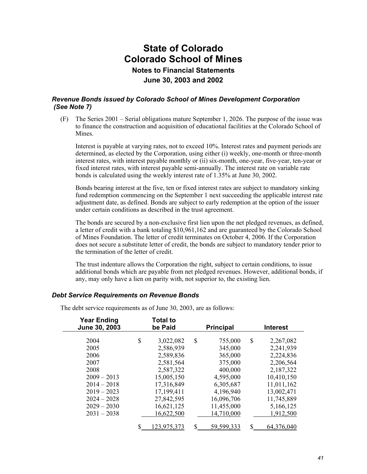#### *Revenue Bonds issued by Colorado School of Mines Development Corporation (See Note 7)*

(F) The Series 2001 – Serial obligations mature September 1, 2026. The purpose of the issue was to finance the construction and acquisition of educational facilities at the Colorado School of Mines.

Interest is payable at varying rates, not to exceed 10%. Interest rates and payment periods are determined, as elected by the Corporation, using either (i) weekly, one-month or three-month interest rates, with interest payable monthly or (ii) six-month, one-year, five-year, ten-year or fixed interest rates, with interest payable semi-annually. The interest rate on variable rate bonds is calculated using the weekly interest rate of 1.35% at June 30, 2002.

Bonds bearing interest at the five, ten or fixed interest rates are subject to mandatory sinking fund redemption commencing on the September 1 next succeeding the applicable interest rate adjustment date, as defined. Bonds are subject to early redemption at the option of the issuer under certain conditions as described in the trust agreement.

The bonds are secured by a non-exclusive first lien upon the net pledged revenues, as defined, a letter of credit with a bank totaling \$10,961,162 and are guaranteed by the Colorado School of Mines Foundation. The letter of credit terminates on October 4, 2006. If the Corporation does not secure a substitute letter of credit, the bonds are subject to mandatory tender prior to the termination of the letter of credit.

The trust indenture allows the Corporation the right, subject to certain conditions, to issue additional bonds which are payable from net pledged revenues. However, additional bonds, if any, may only have a lien on parity with, not superior to, the existing lien.

#### *Debt Service Requirements on Revenue Bonds*

| <b>Year Ending</b><br>June 30, 2003                                                     | <b>Total to</b><br>be Paid                                                                                    | <b>Principal</b>                                                                                 | <b>Interest</b>                                                                                               |
|-----------------------------------------------------------------------------------------|---------------------------------------------------------------------------------------------------------------|--------------------------------------------------------------------------------------------------|---------------------------------------------------------------------------------------------------------------|
| 2004<br>2005<br>2006<br>2007<br>2008<br>$2009 - 2013$<br>$2014 - 2018$<br>$2019 - 2023$ | \$<br>3,022,082<br>2,586,939<br>2,589,836<br>2,581,564<br>2,587,322<br>15,005,150<br>17,316,849<br>17,199,411 | \$<br>755,000<br>345,000<br>365,000<br>375,000<br>400,000<br>4,595,000<br>6,305,687<br>4,196,940 | \$<br>2,267,082<br>2,241,939<br>2,224,836<br>2,206,564<br>2,187,322<br>10,410,150<br>11,011,162<br>13,002,471 |
| $2024 - 2028$<br>$2029 - 2030$<br>$2031 - 2038$                                         | 27,842,595<br>16,621,125<br>16,622,500                                                                        | 16,096,706<br>11,455,000<br>14,710,000<br>59,599,333                                             | 11,745,889<br>5,166,125<br>1,912,500<br>64 376 (14                                                            |

The debt service requirements as of June 30, 2003, are as follows: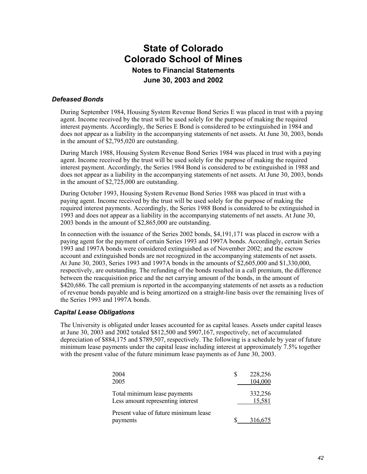#### *Defeased Bonds*

During September 1984, Housing System Revenue Bond Series E was placed in trust with a paying agent. Income received by the trust will be used solely for the purpose of making the required interest payments. Accordingly, the Series E Bond is considered to be extinguished in 1984 and does not appear as a liability in the accompanying statements of net assets. At June 30, 2003, bonds in the amount of \$2,795,020 are outstanding.

During March 1988, Housing System Revenue Bond Series 1984 was placed in trust with a paying agent. Income received by the trust will be used solely for the purpose of making the required interest payment. Accordingly, the Series 1984 Bond is considered to be extinguished in 1988 and does not appear as a liability in the accompanying statements of net assets. At June 30, 2003, bonds in the amount of \$2,725,000 are outstanding.

During October 1993, Housing System Revenue Bond Series 1988 was placed in trust with a paying agent. Income received by the trust will be used solely for the purpose of making the required interest payments. Accordingly, the Series 1988 Bond is considered to be extinguished in 1993 and does not appear as a liability in the accompanying statements of net assets. At June 30, 2003 bonds in the amount of \$2,865,000 are outstanding.

In connection with the issuance of the Series 2002 bonds, \$4,191,171 was placed in escrow with a paying agent for the payment of certain Series 1993 and 1997A bonds. Accordingly, certain Series 1993 and 1997A bonds were considered extinguished as of November 2002; and the escrow account and extinguished bonds are not recognized in the accompanying statements of net assets. At June 30, 2003, Series 1993 and 1997A bonds in the amounts of \$2,605,000 and \$1,330,000, respectively, are outstanding. The refunding of the bonds resulted in a call premium, the difference between the reacquisition price and the net carrying amount of the bonds, in the amount of \$420,686. The call premium is reported in the accompanying statements of net assets as a reduction of revenue bonds payable and is being amortized on a straight-line basis over the remaining lives of the Series 1993 and 1997A bonds.

#### *Capital Lease Obligations*

The University is obligated under leases accounted for as capital leases. Assets under capital leases at June 30, 2003 and 2002 totaled \$812,500 and \$907,167, respectively, net of accumulated depreciation of \$884,175 and \$789,507, respectively. The following is a schedule by year of future minimum lease payments under the capital lease including interest at approximately 7.5% together with the present value of the future minimum lease payments as of June 30, 2003.

| 2004                                                              | 228,256           |
|-------------------------------------------------------------------|-------------------|
| 2005                                                              | 104,000           |
| Total minimum lease payments<br>Less amount representing interest | 332,256<br>15,581 |
| Present value of future minimum lease<br>payments                 | 316.675           |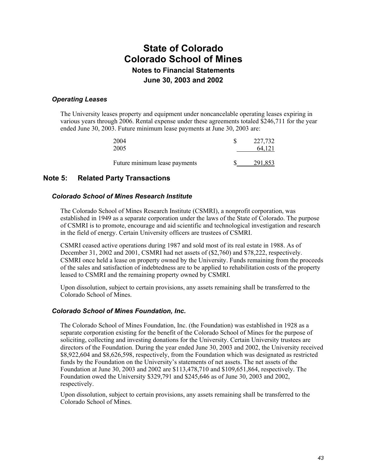#### *Operating Leases*

The University leases property and equipment under noncancelable operating leases expiring in various years through 2006. Rental expense under these agreements totaled \$246,711 for the year ended June 30, 2003. Future minimum lease payments at June 30, 2003 are:

| 2004<br>2005                  | 227,732<br>64.121 |
|-------------------------------|-------------------|
| Future minimum lease payments | 291,853           |

### **Note 5: Related Party Transactions**

#### *Colorado School of Mines Research Institute*

The Colorado School of Mines Research Institute (CSMRI), a nonprofit corporation, was established in 1949 as a separate corporation under the laws of the State of Colorado. The purpose of CSMRI is to promote, encourage and aid scientific and technological investigation and research in the field of energy. Certain University officers are trustees of CSMRI.

CSMRI ceased active operations during 1987 and sold most of its real estate in 1988. As of December 31, 2002 and 2001, CSMRI had net assets of (\$2,760) and \$78,222, respectively. CSMRI once held a lease on property owned by the University. Funds remaining from the proceeds of the sales and satisfaction of indebtedness are to be applied to rehabilitation costs of the property leased to CSMRI and the remaining property owned by CSMRI.

Upon dissolution, subject to certain provisions, any assets remaining shall be transferred to the Colorado School of Mines.

#### *Colorado School of Mines Foundation, Inc.*

The Colorado School of Mines Foundation, Inc. (the Foundation) was established in 1928 as a separate corporation existing for the benefit of the Colorado School of Mines for the purpose of soliciting, collecting and investing donations for the University. Certain University trustees are directors of the Foundation. During the year ended June 30, 2003 and 2002, the University received \$8,922,604 and \$8,626,598, respectively, from the Foundation which was designated as restricted funds by the Foundation on the University's statements of net assets. The net assets of the Foundation at June 30, 2003 and 2002 are \$113,478,710 and \$109,651,864, respectively. The Foundation owed the University \$329,791 and \$245,646 as of June 30, 2003 and 2002, respectively.

Upon dissolution, subject to certain provisions, any assets remaining shall be transferred to the Colorado School of Mines.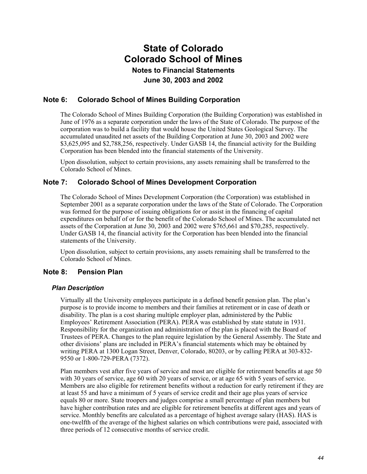## **Note 6: Colorado School of Mines Building Corporation**

The Colorado School of Mines Building Corporation (the Building Corporation) was established in June of 1976 as a separate corporation under the laws of the State of Colorado. The purpose of the corporation was to build a facility that would house the United States Geological Survey. The accumulated unaudited net assets of the Building Corporation at June 30, 2003 and 2002 were \$3,625,095 and \$2,788,256, respectively. Under GASB 14, the financial activity for the Building Corporation has been blended into the financial statements of the University.

Upon dissolution, subject to certain provisions, any assets remaining shall be transferred to the Colorado School of Mines.

## **Note 7: Colorado School of Mines Development Corporation**

The Colorado School of Mines Development Corporation (the Corporation) was established in September 2001 as a separate corporation under the laws of the State of Colorado. The Corporation was formed for the purpose of issuing obligations for or assist in the financing of capital expenditures on behalf of or for the benefit of the Colorado School of Mines. The accumulated net assets of the Corporation at June 30, 2003 and 2002 were \$765,661 and \$70,285, respectively. Under GASB 14, the financial activity for the Corporation has been blended into the financial statements of the University.

Upon dissolution, subject to certain provisions, any assets remaining shall be transferred to the Colorado School of Mines.

## **Note 8: Pension Plan**

#### *Plan Description*

Virtually all the University employees participate in a defined benefit pension plan. The plan's purpose is to provide income to members and their families at retirement or in case of death or disability. The plan is a cost sharing multiple employer plan, administered by the Public Employees' Retirement Association (PERA). PERA was established by state statute in 1931. Responsibility for the organization and administration of the plan is placed with the Board of Trustees of PERA. Changes to the plan require legislation by the General Assembly. The State and other divisions' plans are included in PERA's financial statements which may be obtained by writing PERA at 1300 Logan Street, Denver, Colorado, 80203, or by calling PERA at 303-832- 9550 or 1-800-729-PERA (7372).

Plan members vest after five years of service and most are eligible for retirement benefits at age 50 with 30 years of service, age 60 with 20 years of service, or at age 65 with 5 years of service. Members are also eligible for retirement benefits without a reduction for early retirement if they are at least 55 and have a minimum of 5 years of service credit and their age plus years of service equals 80 or more. State troopers and judges comprise a small percentage of plan members but have higher contribution rates and are eligible for retirement benefits at different ages and years of service. Monthly benefits are calculated as a percentage of highest average salary (HAS). HAS is one-twelfth of the average of the highest salaries on which contributions were paid, associated with three periods of 12 consecutive months of service credit.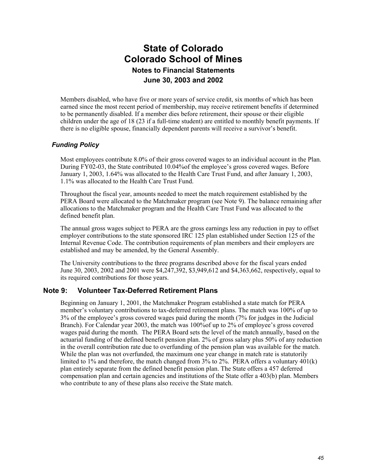Members disabled, who have five or more years of service credit, six months of which has been earned since the most recent period of membership, may receive retirement benefits if determined to be permanently disabled. If a member dies before retirement, their spouse or their eligible children under the age of 18 (23 if a full-time student) are entitled to monthly benefit payments. If there is no eligible spouse, financially dependent parents will receive a survivor's benefit.

## *Funding Policy*

Most employees contribute 8.0% of their gross covered wages to an individual account in the Plan. During FY02-03, the State contributed 10.04%of the employee's gross covered wages. Before January 1, 2003, 1.64% was allocated to the Health Care Trust Fund, and after January 1, 2003, 1.1% was allocated to the Health Care Trust Fund.

Throughout the fiscal year, amounts needed to meet the match requirement established by the PERA Board were allocated to the Matchmaker program (see Note 9). The balance remaining after allocations to the Matchmaker program and the Health Care Trust Fund was allocated to the defined benefit plan.

The annual gross wages subject to PERA are the gross earnings less any reduction in pay to offset employer contributions to the state sponsored IRC 125 plan established under Section 125 of the Internal Revenue Code. The contribution requirements of plan members and their employers are established and may be amended, by the General Assembly.

The University contributions to the three programs described above for the fiscal years ended June 30, 2003, 2002 and 2001 were \$4,247,392, \$3,949,612 and \$4,363,662, respectively, equal to its required contributions for those years.

#### **Note 9: Volunteer Tax-Deferred Retirement Plans**

Beginning on January 1, 2001, the Matchmaker Program established a state match for PERA member's voluntary contributions to tax-deferred retirement plans. The match was 100% of up to 3% of the employee's gross covered wages paid during the month (7% for judges in the Judicial Branch). For Calendar year 2003, the match was 100%of up to 2% of employee's gross covered wages paid during the month. The PERA Board sets the level of the match annually, based on the actuarial funding of the defined benefit pension plan. 2% of gross salary plus 50% of any reduction in the overall contribution rate due to overfunding of the pension plan was available for the match. While the plan was not overfunded, the maximum one year change in match rate is statutorily limited to 1% and therefore, the match changed from 3% to 2%. PERA offers a voluntary 401(k) plan entirely separate from the defined benefit pension plan. The State offers a 457 deferred compensation plan and certain agencies and institutions of the State offer a 403(b) plan. Members who contribute to any of these plans also receive the State match.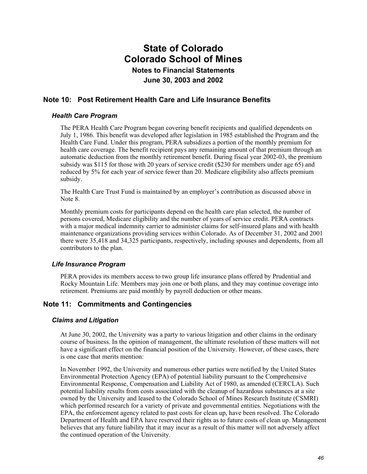## **Note 10: Post Retirement Health Care and Life Insurance Benefits**

#### *Health Care Program*

The PERA Health Care Program began covering benefit recipients and qualified dependents on July 1, 1986. This benefit was developed after legislation in 1985 established the Program and the Health Care Fund. Under this program, PERA subsidizes a portion of the monthly premium for health care coverage. The benefit recipient pays any remaining amount of that premium through an automatic deduction from the monthly retirement benefit. During fiscal year 2002-03, the premium subsidy was \$115 for those with 20 years of service credit (\$230 for members under age 65) and reduced by 5% for each year of service fewer than 20. Medicare eligibility also affects premium subsidy.

The Health Care Trust Fund is maintained by an employer's contribution as discussed above in Note 8.

Monthly premium costs for participants depend on the health care plan selected, the number of persons covered, Medicare eligibility and the number of years of service credit. PERA contracts with a major medical indemnity carrier to administer claims for self-insured plans and with health maintenance organizations providing services within Colorado. As of December 31, 2002 and 2001 there were 35,418 and 34,325 participants, respectively, including spouses and dependents, from all contributors to the plan.

#### *Life Insurance Program*

PERA provides its members access to two group life insurance plans offered by Prudential and Rocky Mountain Life. Members may join one or both plans, and they may continue coverage into retirement. Premiums are paid monthly by payroll deduction or other means.

#### **Note 11: Commitments and Contingencies**

#### *Claims and Litigation*

At June 30, 2002, the University was a party to various litigation and other claims in the ordinary course of business. In the opinion of management, the ultimate resolution of these matters will not have a significant effect on the financial position of the University. However, of these cases, there is one case that merits mention:

In November 1992, the University and numerous other parties were notified by the United States Environmental Protection Agency (EPA) of potential liability pursuant to the Comprehensive Environmental Response, Compensation and Liability Act of 1980, as amended (CERCLA). Such potential liability results from costs associated with the cleanup of hazardous substances at a site owned by the University and leased to the Colorado School of Mines Research Institute (CSMRI) which performed research for a variety of private and governmental entities. Negotiations with the EPA, the enforcement agency related to past costs for clean up, have been resolved. The Colorado Department of Health and EPA have reserved their rights as to future costs of clean up. Management believes that any future liability that it may incur as a result of this matter will not adversely affect the continued operation of the University.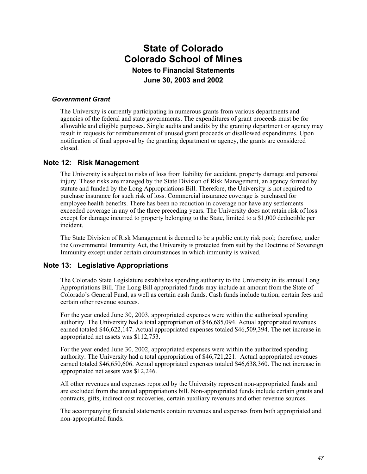#### *Government Grant*

The University is currently participating in numerous grants from various departments and agencies of the federal and state governments. The expenditures of grant proceeds must be for allowable and eligible purposes. Single audits and audits by the granting department or agency may result in requests for reimbursement of unused grant proceeds or disallowed expenditures. Upon notification of final approval by the granting department or agency, the grants are considered closed.

### **Note 12: Risk Management**

The University is subject to risks of loss from liability for accident, property damage and personal injury. These risks are managed by the State Division of Risk Management, an agency formed by statute and funded by the Long Appropriations Bill. Therefore, the University is not required to purchase insurance for such risk of loss. Commercial insurance coverage is purchased for employee health benefits. There has been no reduction in coverage nor have any settlements exceeded coverage in any of the three preceding years. The University does not retain risk of loss except for damage incurred to property belonging to the State, limited to a \$1,000 deductible per incident.

The State Division of Risk Management is deemed to be a public entity risk pool; therefore, under the Governmental Immunity Act, the University is protected from suit by the Doctrine of Sovereign Immunity except under certain circumstances in which immunity is waived.

## **Note 13: Legislative Appropriations**

The Colorado State Legislature establishes spending authority to the University in its annual Long Appropriations Bill. The Long Bill appropriated funds may include an amount from the State of Colorado's General Fund, as well as certain cash funds. Cash funds include tuition, certain fees and certain other revenue sources.

For the year ended June 30, 2003, appropriated expenses were within the authorized spending authority. The University had a total appropriation of \$46,685,094. Actual appropriated revenues earned totaled \$46,622,147. Actual appropriated expenses totaled \$46,509,394. The net increase in appropriated net assets was \$112,753.

For the year ended June 30, 2002, appropriated expenses were within the authorized spending authority. The University had a total appropriation of \$46,721,221. Actual appropriated revenues earned totaled \$46,650,606. Actual appropriated expenses totaled \$46,638,360. The net increase in appropriated net assets was \$12,246.

All other revenues and expenses reported by the University represent non-appropriated funds and are excluded from the annual appropriations bill. Non-appropriated funds include certain grants and contracts, gifts, indirect cost recoveries, certain auxiliary revenues and other revenue sources.

The accompanying financial statements contain revenues and expenses from both appropriated and non-appropriated funds.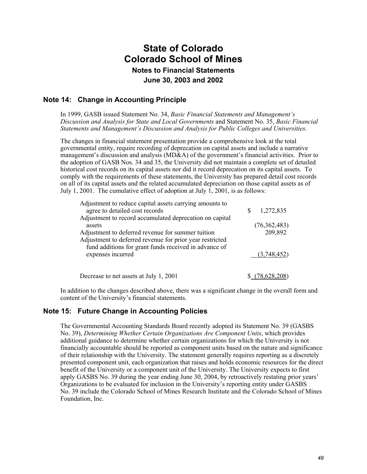## **Note 14: Change in Accounting Principle**

In 1999, GASB issued Statement No. 34, *Basic Financial Statements and Management's Discussion and Analysis for State and Local Governments* and Statement No. 35, *Basic Financial Statements and Management's Discussion and Analysis for Public Colleges and Universities*.

The changes in financial statement presentation provide a comprehensive look at the total governmental entity, require recording of deprecation on capital assets and include a narrative management's discussion and analysis (MD&A) of the government's financial activities. Prior to the adoption of GASB Nos. 34 and 35, the University did not maintain a complete set of detailed historical cost records on its capital assets nor did it record deprecation on its capital assets. To comply with the requirements of these statements, the University has prepared detail cost records on all of its capital assets and the related accumulated depreciation on those capital assets as of July 1, 2001. The cumulative effect of adoption at July  $\hat{1}$ , 2001, is as follows:

| Adjustment to reduce capital assets carrying amounts to<br>agree to detailed cost records                                              | S | 1,272,835    |
|----------------------------------------------------------------------------------------------------------------------------------------|---|--------------|
| Adjustment to record accumulated deprecation on capital<br>assets                                                                      |   | (76,362,483) |
| Adjustment to deferred revenue for summer tuition                                                                                      |   | 209,892      |
| Adjustment to deferred revenue for prior year restricted<br>fund additions for grant funds received in advance of<br>expenses incurred |   | (3,748,452)  |
|                                                                                                                                        |   |              |
| Decrease to net assets at July 1, 2001                                                                                                 |   |              |

In addition to the changes described above, there was a significant change in the overall form and content of the University's financial statements.

#### **Note 15: Future Change in Accounting Policies**

The Governmental Accounting Standards Board recently adopted its Statement No. 39 (GASBS No. 39), *Determining Whether Certain Organizations Are Component Units*, which provides additional guidance to determine whether certain organizations for which the University is not financially accountable should be reported as component units based on the nature and significance of their relationship with the University. The statement generally requires reporting as a discretely presented component unit, each organization that raises and holds economic resources for the direct benefit of the University or a component unit of the University. The University expects to first apply GASBS No. 39 during the year ending June 30, 2004, by retroactively restating prior years' Organizations to be evaluated for inclusion in the University's reporting entity under GASBS No. 39 include the Colorado School of Mines Research Institute and the Colorado School of Mines Foundation, Inc.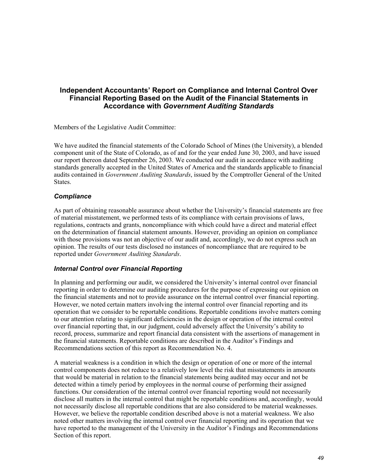## **Independent Accountants' Report on Compliance and Internal Control Over Financial Reporting Based on the Audit of the Financial Statements in Accordance with** *Government Auditing Standards*

Members of the Legislative Audit Committee:

We have audited the financial statements of the Colorado School of Mines (the University), a blended component unit of the State of Colorado, as of and for the year ended June 30, 2003, and have issued our report thereon dated September 26, 2003. We conducted our audit in accordance with auditing standards generally accepted in the United States of America and the standards applicable to financial audits contained in *Government Auditing Standards*, issued by the Comptroller General of the United States.

#### *Compliance*

As part of obtaining reasonable assurance about whether the University's financial statements are free of material misstatement, we performed tests of its compliance with certain provisions of laws, regulations, contracts and grants, noncompliance with which could have a direct and material effect on the determination of financial statement amounts. However, providing an opinion on compliance with those provisions was not an objective of our audit and, accordingly, we do not express such an opinion. The results of our tests disclosed no instances of noncompliance that are required to be reported under *Government Auditing Standards*.

#### *Internal Control over Financial Reporting*

In planning and performing our audit, we considered the University's internal control over financial reporting in order to determine our auditing procedures for the purpose of expressing our opinion on the financial statements and not to provide assurance on the internal control over financial reporting. However, we noted certain matters involving the internal control over financial reporting and its operation that we consider to be reportable conditions. Reportable conditions involve matters coming to our attention relating to significant deficiencies in the design or operation of the internal control over financial reporting that, in our judgment, could adversely affect the University's ability to record, process, summarize and report financial data consistent with the assertions of management in the financial statements. Reportable conditions are described in the Auditor's Findings and Recommendations section of this report as Recommendation No. 4.

A material weakness is a condition in which the design or operation of one or more of the internal control components does not reduce to a relatively low level the risk that misstatements in amounts that would be material in relation to the financial statements being audited may occur and not be detected within a timely period by employees in the normal course of performing their assigned functions. Our consideration of the internal control over financial reporting would not necessarily disclose all matters in the internal control that might be reportable conditions and, accordingly, would not necessarily disclose all reportable conditions that are also considered to be material weaknesses. However, we believe the reportable condition described above is not a material weakness. We also noted other matters involving the internal control over financial reporting and its operation that we have reported to the management of the University in the Auditor's Findings and Recommendations Section of this report.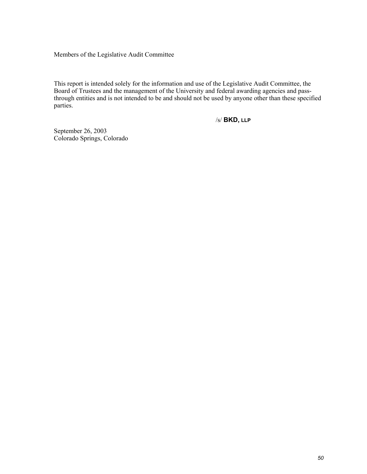Members of the Legislative Audit Committee

This report is intended solely for the information and use of the Legislative Audit Committee, the Board of Trustees and the management of the University and federal awarding agencies and passthrough entities and is not intended to be and should not be used by anyone other than these specified parties.

/s/ **BKD, LLP** 

September 26, 2003 Colorado Springs, Colorado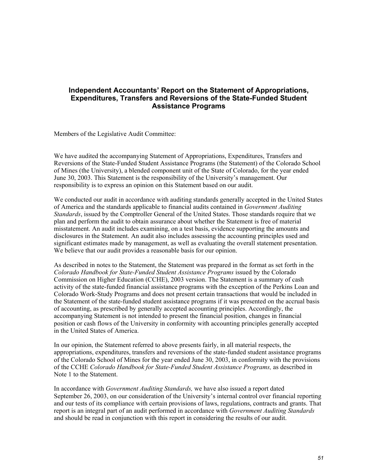## **Independent Accountants' Report on the Statement of Appropriations, Expenditures, Transfers and Reversions of the State-Funded Student Assistance Programs**

Members of the Legislative Audit Committee:

We have audited the accompanying Statement of Appropriations, Expenditures, Transfers and Reversions of the State-Funded Student Assistance Programs (the Statement) of the Colorado School of Mines (the University), a blended component unit of the State of Colorado, for the year ended June 30, 2003. This Statement is the responsibility of the University's management. Our responsibility is to express an opinion on this Statement based on our audit.

We conducted our audit in accordance with auditing standards generally accepted in the United States of America and the standards applicable to financial audits contained in *Government Auditing Standards*, issued by the Comptroller General of the United States. Those standards require that we plan and perform the audit to obtain assurance about whether the Statement is free of material misstatement. An audit includes examining, on a test basis, evidence supporting the amounts and disclosures in the Statement. An audit also includes assessing the accounting principles used and significant estimates made by management, as well as evaluating the overall statement presentation. We believe that our audit provides a reasonable basis for our opinion.

As described in notes to the Statement, the Statement was prepared in the format as set forth in the *Colorado Handbook for State-Funded Student Assistance Programs* issued by the Colorado Commission on Higher Education (CCHE), 2003 version. The Statement is a summary of cash activity of the state-funded financial assistance programs with the exception of the Perkins Loan and Colorado Work-Study Programs and does not present certain transactions that would be included in the Statement of the state-funded student assistance programs if it was presented on the accrual basis of accounting, as prescribed by generally accepted accounting principles. Accordingly, the accompanying Statement is not intended to present the financial position, changes in financial position or cash flows of the University in conformity with accounting principles generally accepted in the United States of America.

In our opinion, the Statement referred to above presents fairly, in all material respects, the appropriations, expenditures, transfers and reversions of the state-funded student assistance programs of the Colorado School of Mines for the year ended June 30, 2003, in conformity with the provisions of the CCHE *Colorado Handbook for State-Funded Student Assistance Programs,* as described in Note 1 to the Statement.

In accordance with *Government Auditing Standards,* we have also issued a report dated September 26, 2003, on our consideration of the University's internal control over financial reporting and our tests of its compliance with certain provisions of laws, regulations, contracts and grants. That report is an integral part of an audit performed in accordance with *Government Auditing Standards* and should be read in conjunction with this report in considering the results of our audit.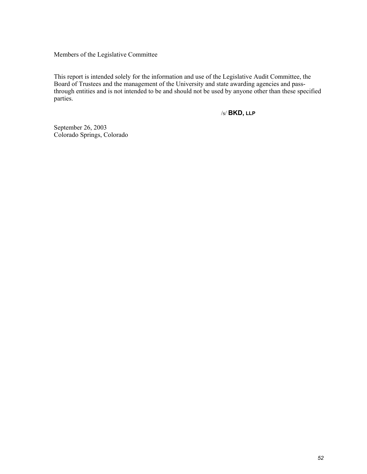Members of the Legislative Committee

This report is intended solely for the information and use of the Legislative Audit Committee, the Board of Trustees and the management of the University and state awarding agencies and passthrough entities and is not intended to be and should not be used by anyone other than these specified parties.

/s/ **BKD, LLP** 

September 26, 2003 Colorado Springs, Colorado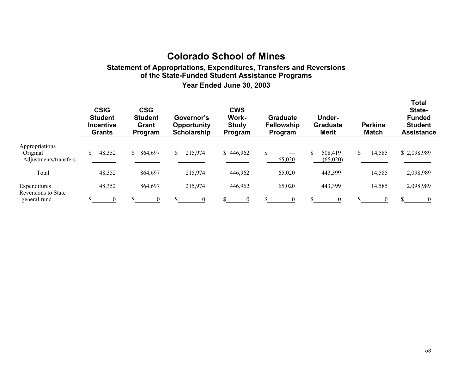# **Colorado School of Mines**

### **Statement of Appropriations, Expenditures, Transfers and Reversions of the State-Funded Student Assistance Programs**

## **Year Ended June 30, 2003**

|                                                     | <b>CSIG</b><br><b>Student</b><br><b>Incentive</b><br><b>Grants</b> | <b>CSG</b><br><b>Student</b><br><b>Grant</b><br>Program |         | Governor's<br>Opportunity<br>Scholarship |         | <b>CWS</b><br>Work-<br><b>Study</b><br>Program |           | <b>Graduate</b><br><b>Fellowship</b><br>Program |        | <b>Under-</b><br><b>Graduate</b><br><b>Merit</b> |                     | <b>Perkins</b><br><b>Match</b> |        | <b>Total</b><br>State-<br><b>Funded</b><br><b>Student</b><br><b>Assistance</b> |             |
|-----------------------------------------------------|--------------------------------------------------------------------|---------------------------------------------------------|---------|------------------------------------------|---------|------------------------------------------------|-----------|-------------------------------------------------|--------|--------------------------------------------------|---------------------|--------------------------------|--------|--------------------------------------------------------------------------------|-------------|
| Appropriations<br>Original<br>Adjustments/transfers | \$<br>48,352                                                       | S.                                                      | 864,697 | S.                                       | 215,974 |                                                | \$446,962 | \$                                              | 65,020 |                                                  | 508,419<br>(65,020) | \$                             | 14,585 |                                                                                | \$2,098,989 |
| Total                                               | 48,352                                                             |                                                         | 864,697 |                                          | 215,974 |                                                | 446,962   |                                                 | 65,020 |                                                  | 443,399             |                                | 14,585 |                                                                                | 2,098,989   |
| Expenditures<br>Reversions to State                 | 48,352                                                             |                                                         | 864,697 |                                          | 215,974 |                                                | 446,962   |                                                 | 65,020 |                                                  | 443,399             |                                | 14,585 |                                                                                | 2,098,989   |
| general fund                                        |                                                                    |                                                         |         |                                          |         |                                                |           |                                                 |        |                                                  |                     |                                |        |                                                                                |             |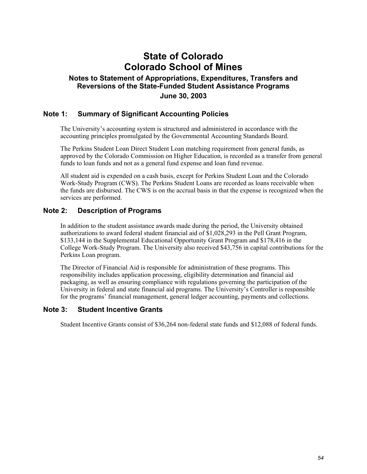### **Notes to Statement of Appropriations, Expenditures, Transfers and Reversions of the State-Funded Student Assistance Programs June 30, 2003**

### **Note 1: Summary of Significant Accounting Policies**

The University's accounting system is structured and administered in accordance with the accounting principles promulgated by the Governmental Accounting Standards Board.

The Perkins Student Loan Direct Student Loan matching requirement from general funds, as approved by the Colorado Commission on Higher Education, is recorded as a transfer from general funds to loan funds and not as a general fund expense and loan fund revenue.

All student aid is expended on a cash basis, except for Perkins Student Loan and the Colorado Work-Study Program (CWS). The Perkins Student Loans are recorded as loans receivable when the funds are disbursed. The CWS is on the accrual basis in that the expense is recognized when the services are performed.

#### **Note 2: Description of Programs**

In addition to the student assistance awards made during the period, the University obtained authorizations to award federal student financial aid of \$1,028,293 in the Pell Grant Program, \$133,144 in the Supplemental Educational Opportunity Grant Program and \$178,416 in the College Work-Study Program. The University also received \$43,756 in capital contributions for the Perkins Loan program.

The Director of Financial Aid is responsible for administration of these programs. This responsibility includes application processing, eligibility determination and financial aid packaging, as well as ensuring compliance with regulations governing the participation of the University in federal and state financial aid programs. The University's Controller is responsible for the programs' financial management, general ledger accounting, payments and collections.

#### **Note 3: Student Incentive Grants**

Student Incentive Grants consist of \$36,264 non-federal state funds and \$12,088 of federal funds.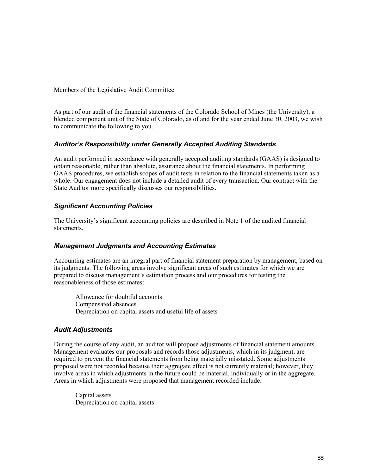Members of the Legislative Audit Committee:

As part of our audit of the financial statements of the Colorado School of Mines (the University), a blended component unit of the State of Colorado, as of and for the year ended June 30, 2003, we wish to communicate the following to you.

### *Auditor's Responsibility under Generally Accepted Auditing Standards*

An audit performed in accordance with generally accepted auditing standards (GAAS) is designed to obtain reasonable, rather than absolute, assurance about the financial statements. In performing GAAS procedures, we establish scopes of audit tests in relation to the financial statements taken as a whole. Our engagement does not include a detailed audit of every transaction. Our contract with the State Auditor more specifically discusses our responsibilities.

### *Significant Accounting Policies*

The University's significant accounting policies are described in Note 1 of the audited financial statements.

#### *Management Judgments and Accounting Estimates*

Accounting estimates are an integral part of financial statement preparation by management, based on its judgments. The following areas involve significant areas of such estimates for which we are prepared to discuss management's estimation process and our procedures for testing the reasonableness of those estimates:

 Allowance for doubtful accounts Compensated absences Depreciation on capital assets and useful life of assets

## *Audit Adjustments*

During the course of any audit, an auditor will propose adjustments of financial statement amounts. Management evaluates our proposals and records those adjustments, which in its judgment, are required to prevent the financial statements from being materially misstated. Some adjustments proposed were not recorded because their aggregate effect is not currently material; however, they involve areas in which adjustments in the future could be material, individually or in the aggregate. Areas in which adjustments were proposed that management recorded include:

 Capital assets Depreciation on capital assets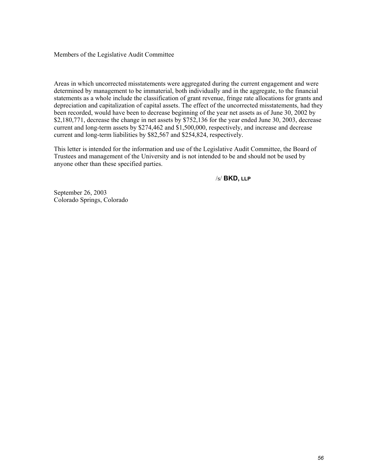Members of the Legislative Audit Committee

Areas in which uncorrected misstatements were aggregated during the current engagement and were determined by management to be immaterial, both individually and in the aggregate, to the financial statements as a whole include the classification of grant revenue, fringe rate allocations for grants and depreciation and capitalization of capital assets. The effect of the uncorrected misstatements, had they been recorded, would have been to decrease beginning of the year net assets as of June 30, 2002 by \$2,180,771, decrease the change in net assets by \$752,136 for the year ended June 30, 2003, decrease current and long-term assets by \$274,462 and \$1,500,000, respectively, and increase and decrease current and long-term liabilities by \$82,567 and \$254,824, respectively.

This letter is intended for the information and use of the Legislative Audit Committee, the Board of Trustees and management of the University and is not intended to be and should not be used by anyone other than these specified parties.

/s/ **BKD, LLP** 

September 26, 2003 Colorado Springs, Colorado